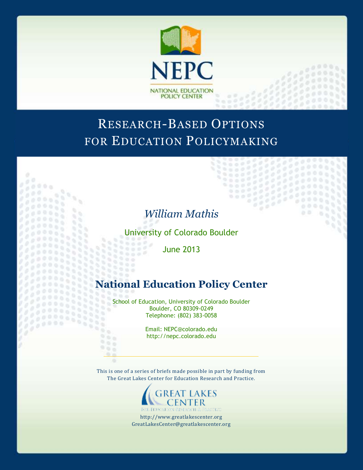

# RESEARCH-BASED OPTIONS FOR EDUCATION POLICYMAKING

# *William Mathis*

 $0<sup>0</sup>$ 

 $0<sup>o</sup>$ 

ò.  $\frac{1}{2}$ 

ö

 $000$ 

 $000$ 

 $000$ 

 $0.06$ 

97 O.

98

x v. u,

n.

W

52

966 905

 $\alpha$  ,  $\alpha$ 

..........  $1.111$ 

398857

33355

9588

88

 $\mathbb{R}$ 

 $0$   $\bar{v}$ 

 $000$  $0.01$ 

University of Colorado Boulder

June 2013

# **National Education Policy Center**

School of Education, University of Colorado Boulder Boulder, CO 80309-0249 Telephone: (802) 383-0058

> Email: NEPC@colorado.edu http://nepc.colorado.edu

This is one of a series of briefs made possible in part by funding from The Great Lakes Center for Education Research and Practice.



http://www.greatlakescenter.org GreatLakesCenter@greatlakescenter.org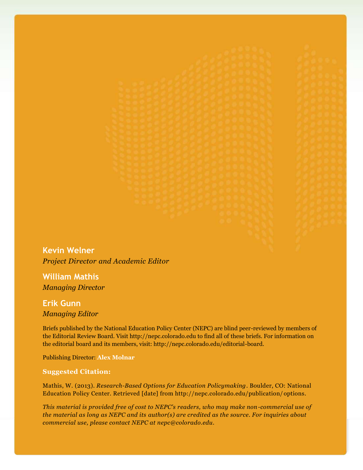**Kevin Welner** *Project Director and Academic Editor*

**William Mathis** *Managing Director*

**Erik Gunn** *Managing Editor*

Briefs published by the National Education Policy Center (NEPC) are blind peer-reviewed by members of the Editorial Review Board. Visit http://nepc.colorado.edu to find all of these briefs. For information on the editorial board and its members, visit: http://nepc.colorado.edu/editorial-board.

Publishing Director: **Alex Molnar**

#### **Suggested Citation:**

Mathis, W. (2013). *Research-Based Options for Education Policymaking*. Boulder, CO: National Education Policy Center. Retrieved [date] from http://nepc.colorado.edu/publication/ options.

*This material is provided free of cost to NEPC's readers, who may make non-commercial use of the material as long as NEPC and its author(s) are credited as the source. For inquiries about commercial use, please contact NEPC at nepc@colorado.edu.*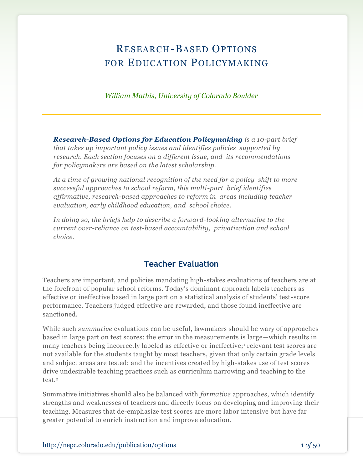# RESEARCH-BASED OPTIONS FOR EDUCATION POLICYMAKING

*William Mathis, University of Colorado Boulder*

*Research-Based Options for Education Policymaking is a 10-part brief that takes up important policy issues and identifies policies supported by research. Each section focuses on a different issue, and its recommendations for policymakers are based on the latest scholarship.*

*At a time of growing national recognition of the need for a policy shift to more successful approaches to school reform, this multi-part brief identifies affirmative, research-based approaches to reform in areas including teacher evaluation, early childhood education, and school choice.* 

In doing so, the briefs help to describe a forward-looking alternative to the *current over-reliance on test-based accountability, privatization and school choice.*

### **Teacher Evaluation**

Teachers are important, and policies mandating high-stakes evaluations of teachers are at the forefront of popular school reforms. Today's dominant approach labels teachers as effective or ineffective based in large part on a statistical analysis of students' test-score performance. Teachers judged effective are rewarded, and those found ineffective are sanctioned.

While such *summative* evaluations can be useful, lawmakers should be wary of approaches based in large part on test scores: the error in the measurements is large—which results in many teachers being incorrectly labeled as effective or ineffective;<sup>1</sup> relevant test scores are not available for the students taught by most teachers, given that only certain grade levels and subject areas are tested; and the incentives created by high-stakes use of test scores drive undesirable teaching practices such as curriculum narrowing and teaching to the test.<sup>2</sup>

Summative initiatives should also be balanced with *formative* approaches, which identify strengths and weaknesses of teachers and directly focus on developing and improving their teaching. Measures that de-emphasize test scores are more labor intensive but have far greater potential to enrich instruction and improve education.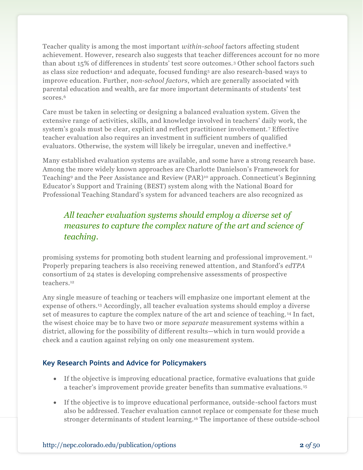Teacher quality is among the most important *within-school* factors affecting student achievement. However, research also suggests that teacher differences account for no more than about 15% of differences in students' test score outcomes.<sup>3</sup> Other school factors such as class size reduction<sup>4</sup> and adequate, focused funding<sup>5</sup> are also research-based ways to improve education. Further, *non-school factors*, which are generally associated with parental education and wealth, are far more important determinants of students' test scores.<sup>6</sup>

Care must be taken in selecting or designing a balanced evaluation system. Given the extensive range of activities, skills, and knowledge involved in teachers' daily work, the system's goals must be clear, explicit and reflect practitioner involvement.<sup>7</sup> Effective teacher evaluation also requires an investment in sufficient numbers of qualified evaluators. Otherwise, the system will likely be irregular, uneven and ineffective.<sup>8</sup>

Many established evaluation systems are available, and some have a strong research base. Among the more widely known approaches are Charlotte Danielson's Framework for Teaching<sup>9</sup> and the Peer Assistance and Review (PAR)<sup>10</sup> approach. Connecticut's Beginning Educator's Support and Training (BEST) system along with the National Board for Professional Teaching Standard's system for advanced teachers are also recognized as

# *All teacher evaluation systems should employ a diverse set of measures to capture the complex nature of the art and science of teaching.*

promising systems for promoting both student learning and professional improvement. <sup>11</sup> Properly preparing teachers is also receiving renewed attention, and Stanford's *edTPA* consortium of 24 states is developing comprehensive assessments of prospective teachers.<sup>12</sup>

Any single measure of teaching or teachers will emphasize one important element at the expense of others.<sup>13</sup> Accordingly, all teacher evaluation systems should employ a diverse set of measures to capture the complex nature of the art and science of teaching. <sup>14</sup> In fact, the wisest choice may be to have two or more *separate* measurement systems within a district, allowing for the possibility of different results—which in turn would provide a check and a caution against relying on only one measurement system.

### **Key Research Points and Advice for Policymakers**

- If the objective is improving educational practice, formative evaluations that guide a teacher's improvement provide greater benefits than summative evaluations. <sup>15</sup>
- If the objective is to improve educational performance, outside-school factors must also be addressed. Teacher evaluation cannot replace or compensate for these much stronger determinants of student learning.<sup>16</sup> The importance of these outside-school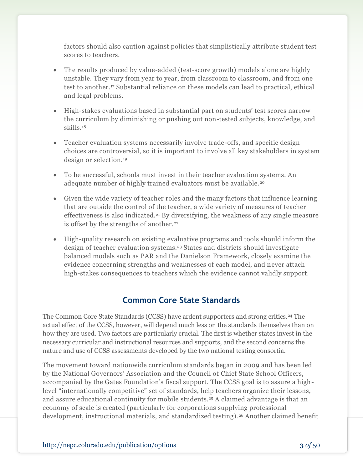factors should also caution against policies that simplistically attribute student test scores to teachers.

- The results produced by value-added (test-score growth) models alone are highly unstable. They vary from year to year, from classroom to classroom, and from one test to another.<sup>17</sup> Substantial reliance on these models can lead to practical, ethical and legal problems.
- High-stakes evaluations based in substantial part on students' test scores narrow the curriculum by diminishing or pushing out non-tested subjects, knowledge, and skills.<sup>18</sup>
- Teacher evaluation systems necessarily involve trade-offs, and specific design choices are controversial, so it is important to involve all key stakeholders in system design or selection.<sup>19</sup>
- To be successful, schools must invest in their teacher evaluation systems. An adequate number of highly trained evaluators must be available.<sup>20</sup>
- Given the wide variety of teacher roles and the many factors that influence learning that are outside the control of the teacher, a wide variety of measures of teacher effectiveness is also indicated.<sup>21</sup> By diversifying, the weakness of any single measure is offset by the strengths of another.<sup>22</sup>
- High-quality research on existing evaluative programs and tools should inform the design of teacher evaluation systems.<sup>23</sup> States and districts should investigate balanced models such as PAR and the Danielson Framework, closely examine the evidence concerning strengths and weaknesses of each model, and never attach high-stakes consequences to teachers which the evidence cannot validly support.

## **Common Core State Standards**

The Common Core State Standards (CCSS) have ardent supporters and strong critics.<sup>24</sup> The actual effect of the CCSS, however, will depend much less on the standards themselves than on how they are used. Two factors are particularly crucial. The first is whether states invest in the necessary curricular and instructional resources and supports, and the second concerns the nature and use of CCSS assessments developed by the two national testing consortia.

The movement toward nationwide curriculum standards began in 2009 and has been led by the National Governors' Association and the Council of Chief State School Officers, accompanied by the Gates Foundation's fiscal support. The CCSS goal is to assure a highlevel "internationally competitive" set of standards, help teachers organize their lessons, and assure educational continuity for mobile students.<sup>25</sup> A claimed advantage is that an economy of scale is created (particularly for corporations supplying professional development, instructional materials, and standardized testing).<sup>26</sup> Another claimed benefit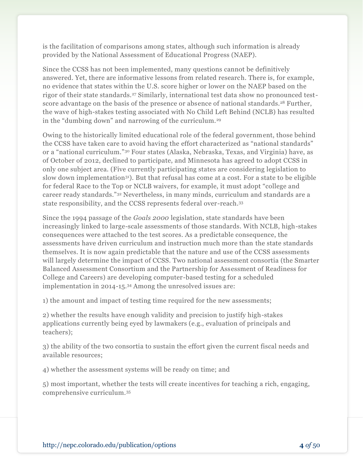is the facilitation of comparisons among states, although such information is already provided by the National Assessment of Educational Progress (NAEP).

Since the CCSS has not been implemented, many questions cannot be definitively answered. Yet, there are informative lessons from related research. There is, for example, no evidence that states within the U.S. score higher or lower on the NAEP based on the rigor of their state standards.<sup>27</sup> Similarly, international test data show no pronounced testscore advantage on the basis of the presence or absence of national standards.<sup>28</sup> Further, the wave of high-stakes testing associated with No Child Left Behind (NCLB) has resulted in the "dumbing down" and narrowing of the curriculum.<sup>29</sup>

Owing to the historically limited educational role of the federal government, those behind the CCSS have taken care to avoid having the effort characterized as "national standards" or a "national curriculum."<sup>30</sup> Four states (Alaska, Nebraska, Texas, and Virginia) have, as of October of 2012, declined to participate, and Minnesota has agreed to adopt CCSS in only one subject area. (Five currently participating states are considering legislation to slow down implementation<sup>31</sup>). But that refusal has come at a cost. For a state to be eligible for federal Race to the Top or NCLB waivers, for example, it must adopt "college and career ready standards."<sup>32</sup> Nevertheless, in many minds, curriculum and standards are a state responsibility, and the CCSS represents federal over-reach.<sup>33</sup>

Since the 1994 passage of the *Goals 2000* legislation, state standards have been increasingly linked to large-scale assessments of those standards. With NCLB, high-stakes consequences were attached to the test scores. As a predictable consequence, the assessments have driven curriculum and instruction much more than the state standards themselves. It is now again predictable that the nature and use of the CCSS assessments will largely determine the impact of CCSS. Two national assessment consortia (the Smarter Balanced Assessment Consortium and the Partnership for Assessment of Readiness for College and Careers) are developing computer-based testing for a scheduled implementation in 2014-15.<sup>34</sup> Among the unresolved issues are:

1) the amount and impact of testing time required for the new assessments;

2) whether the results have enough validity and precision to justify high-stakes applications currently being eyed by lawmakers (e.g., evaluation of principals and teachers);

3) the ability of the two consortia to sustain the effort given the current fiscal needs and available resources;

4) whether the assessment systems will be ready on time; and

5) most important, whether the tests will create incentives for teaching a rich, engaging, comprehensive curriculum.35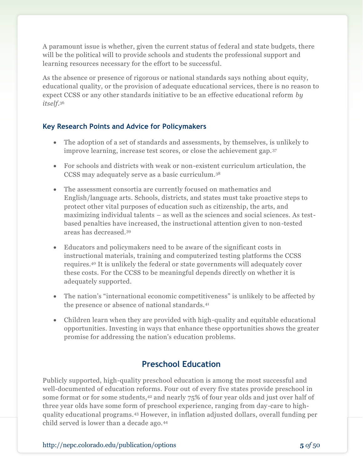A paramount issue is whether, given the current status of federal and state budgets, there will be the political will to provide schools and students the professional support and learning resources necessary for the effort to be successful.

As the absence or presence of rigorous or national standards says nothing about equity, educational quality, or the provision of adequate educational services, there is no reason to expect CCSS or any other standards initiative to be an effective educational reform *by itself*. 36

### **Key Research Points and Advice for Policymakers**

- The adoption of a set of standards and assessments, by themselves, is unlikely to improve learning, increase test scores, or close the achievement gap. <sup>37</sup>
- For schools and districts with weak or non-existent curriculum articulation, the CCSS may adequately serve as a basic curriculum.<sup>38</sup>
- The assessment consortia are currently focused on mathematics and English/language arts. Schools, districts, and states must take proactive steps to protect other vital purposes of education such as citizenship, the arts, and maximizing individual talents – as well as the sciences and social sciences. As testbased penalties have increased, the instructional attention given to non-tested areas has decreased.<sup>39</sup>
- Educators and policymakers need to be aware of the significant costs in instructional materials, training and computerized testing platforms the CCSS requires.<sup>40</sup> It is unlikely the federal or state governments will adequately cover these costs. For the CCSS to be meaningful depends directly on whether it is adequately supported.
- The nation's "international economic competitiveness" is unlikely to be affected by the presence or absence of national standards.<sup>41</sup>
- Children learn when they are provided with high-quality and equitable educational opportunities. Investing in ways that enhance these opportunities shows the greater promise for addressing the nation's education problems.

# **Preschool Education**

Publicly supported, high-quality preschool education is among the most successful and well-documented of education reforms. Four out of every five states provide preschool in some format or for some students,<sup>42</sup> and nearly 75% of four year olds and just over half of three year olds have some form of preschool experience, ranging from day-care to highquality educational programs.<sup>43</sup> However, in inflation adjusted dollars, overall funding per child served is lower than a decade ago.44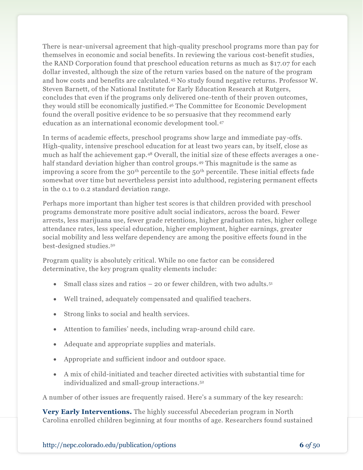There is near-universal agreement that high-quality preschool programs more than pay for themselves in economic and social benefits. In reviewing the various cost-benefit studies, the RAND Corporation found that preschool education returns as much as \$17.07 for each dollar invested, although the size of the return varies based on the nature of the program and how costs and benefits are calculated.<sup>45</sup> No study found negative returns. Professor W. Steven Barnett, of the National Institute for Early Education Research at Rutgers, concludes that even if the programs only delivered one-tenth of their proven outcomes, they would still be economically justified.<sup>46</sup> The Committee for Economic Development found the overall positive evidence to be so persuasive that they recommend early education as an international economic development tool.<sup>47</sup>

In terms of academic effects, preschool programs show large and immediate pay-offs. High-quality, intensive preschool education for at least two years can, by itself, close as much as half the achievement gap.<sup>48</sup> Overall, the initial size of these effects averages a onehalf standard deviation higher than control groups.<sup>49</sup> This magnitude is the same as improving a score from the 30<sup>th</sup> percentile to the  $50<sup>th</sup>$  percentile. These initial effects fade somewhat over time but nevertheless persist into adulthood, registering permanent effects in the 0.1 to 0.2 standard deviation range.

Perhaps more important than higher test scores is that children provided with preschool programs demonstrate more positive adult social indicators, across the board. Fewer arrests, less marijuana use, fewer grade retentions, higher graduation rates, higher college attendance rates, less special education, higher employment, higher earnings, greater social mobility and less welfare dependency are among the positive effects found in the best-designed studies.<sup>50</sup>

Program quality is absolutely critical. While no one factor can be considered determinative, the key program quality elements include:

- Small class sizes and ratios  $-$  20 or fewer children, with two adults.<sup>51</sup>
- Well trained, adequately compensated and qualified teachers.
- Strong links to social and health services.
- Attention to families' needs, including wrap-around child care.
- Adequate and appropriate supplies and materials.
- Appropriate and sufficient indoor and outdoor space.
- A mix of child-initiated and teacher directed activities with substantial time for individualized and small-group interactions.<sup>52</sup>

A number of other issues are frequently raised. Here's a summary of the key research:

**Very Early Interventions.** The highly successful Abecederian program in North Carolina enrolled children beginning at four months of age. Researchers found sustained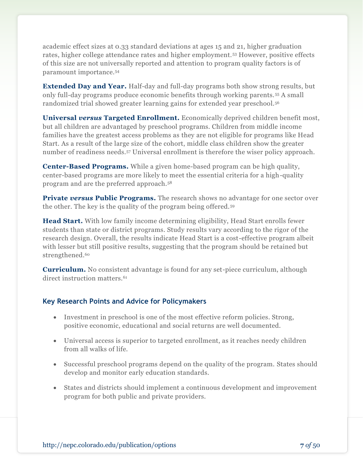academic effect sizes at 0.33 standard deviations at ages 15 and 21, higher graduation rates, higher college attendance rates and higher employment.<sup>53</sup> However, positive effects of this size are not universally reported and attention to program quality factors is of paramount importance.<sup>54</sup>

**Extended Day and Year.** Half-day and full-day programs both show strong results, but only full-day programs produce economic benefits through working parents. <sup>55</sup> A small randomized trial showed greater learning gains for extended year preschool.<sup>56</sup>

**Universal** *versus* **Targeted Enrollment.** Economically deprived children benefit most, but all children are advantaged by preschool programs. Children from middle income families have the greatest access problems as they are not eligible for programs like Head Start. As a result of the large size of the cohort, middle class children show the greater number of readiness needs.<sup>57</sup> Universal enrollment is therefore the wiser policy approach.

**Center-Based Programs.** While a given home-based program can be high quality, center-based programs are more likely to meet the essential criteria for a high-quality program and are the preferred approach.<sup>58</sup>

**Private versus Public Programs.** The research shows no advantage for one sector over the other. The key is the quality of the program being offered.<sup>59</sup>

**Head Start.** With low family income determining eligibility, Head Start enrolls fewer students than state or district programs. Study results vary according to the rigor of the research design. Overall, the results indicate Head Start is a cost-effective program albeit with lesser but still positive results, suggesting that the program should be retained but strengthened.<sup>60</sup>

**Curriculum.** No consistent advantage is found for any set-piece curriculum, although direct instruction matters.<sup>61</sup>

### **Key Research Points and Advice for Policymakers**

- Investment in preschool is one of the most effective reform policies. Strong, positive economic, educational and social returns are well documented.
- Universal access is superior to targeted enrollment, as it reaches needy children from all walks of life.
- Successful preschool programs depend on the quality of the program. States should develop and monitor early education standards.
- States and districts should implement a continuous development and improvement program for both public and private providers.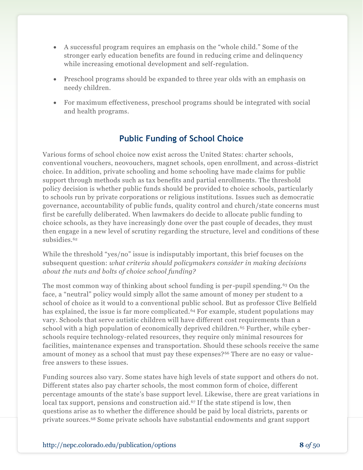- A successful program requires an emphasis on the "whole child." Some of the stronger early education benefits are found in reducing crime and delinquency while increasing emotional development and self-regulation.
- Preschool programs should be expanded to three year olds with an emphasis on needy children.
- For maximum effectiveness, preschool programs should be integrated with social and health programs.

# **Public Funding of School Choice**

Various forms of school choice now exist across the United States: charter schools, conventional vouchers, neovouchers, magnet schools, open enrollment, and across -district choice. In addition, private schooling and home schooling have made claims for public support through methods such as tax benefits and partial enrollments. The threshold policy decision is whether public funds should be provided to choice schools, particularly to schools run by private corporations or religious institutions. Issues such as democratic governance, accountability of public funds, quality control and church/state concerns must first be carefully deliberated. When lawmakers do decide to allocate public funding to choice schools, as they have increasingly done over the past couple of decades, they must then engage in a new level of scrutiny regarding the structure, level and conditions of these subsidies.<sup>62</sup>

While the threshold "yes/no" issue is indisputably important, this brief focuses on the subsequent question: *what criteria should policymakers consider in making decisions about the nuts and bolts of choice school funding?*

The most common way of thinking about school funding is per-pupil spending.<sup>63</sup> On the face, a "neutral" policy would simply allot the same amount of money per student to a school of choice as it would to a conventional public school. But as professor Clive Belfield has explained, the issue is far more complicated.<sup>64</sup> For example, student populations may vary. Schools that serve autistic children will have different cost requirements than a school with a high population of economically deprived children.<sup>65</sup> Further, while cyberschools require technology-related resources, they require only minimal resources for facilities, maintenance expenses and transportation. Should these schools receive the same amount of money as a school that must pay these expenses?<sup>66</sup> There are no easy or valuefree answers to these issues.

Funding sources also vary. Some states have high levels of state support and others do not. Different states also pay charter schools, the most common form of choice, different percentage amounts of the state's base support level. Likewise, there are great variations in local tax support, pensions and construction aid.<sup>67</sup> If the state stipend is low, then questions arise as to whether the difference should be paid by local districts, parents or private sources.<sup>68</sup> Some private schools have substantial endowments and grant support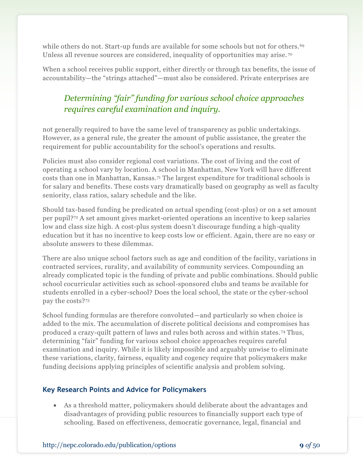while others do not. Start-up funds are available for some schools but not for others.<sup>69</sup> Unless all revenue sources are considered, inequality of opportunities may arise.<sup>70</sup>

When a school receives public support, either directly or through tax benefits, the issue of accountability—the "strings attached"—must also be considered. Private enterprises are

# *Determining "fair" funding for various school choice approaches requires careful examination and inquiry.*

not generally required to have the same level of transparency as public undertakings. However, as a general rule, the greater the amount of public assistance, the greater the requirement for public accountability for the school's operations and results.

Policies must also consider regional cost variations. The cost of living and the cost of operating a school vary by location. A school in Manhattan, New York will have different costs than one in Manhattan, Kansas.<sup>71</sup> The largest expenditure for traditional schools is for salary and benefits. These costs vary dramatically based on geography as well as faculty seniority, class ratios, salary schedule and the like.

Should tax-based funding be predicated on actual spending (cost-plus) or on a set amount per pupil?<sup>72</sup> A set amount gives market-oriented operations an incentive to keep salaries low and class size high. A cost-plus system doesn't discourage funding a high-quality education but it has no incentive to keep costs low or efficient. Again, there are no easy or absolute answers to these dilemmas.

There are also unique school factors such as age and condition of the facility, variations in contracted services, rurality, and availability of community services. Compounding an already complicated topic is the funding of private and public combinations. Should public school cocurricular activities such as school-sponsored clubs and teams be available for students enrolled in a cyber-school? Does the local school, the state or the cyber-school pay the costs?<sup>73</sup>

School funding formulas are therefore convoluted—and particularly so when choice is added to the mix. The accumulation of discrete political decisions and compromises has produced a crazy-quilt pattern of laws and rules both across and within states. <sup>74</sup> Thus, determining "fair" funding for various school choice approaches requires careful examination and inquiry. While it is likely impossible and arguably unwise to eliminate these variations, clarity, fairness, equality and cogency require that policymakers make funding decisions applying principles of scientific analysis and problem solving.

### **Key Research Points and Advice for Policymakers**

 As a threshold matter, policymakers should deliberate about the advantages and disadvantages of providing public resources to financially support each type of schooling. Based on effectiveness, democratic governance, legal, financial and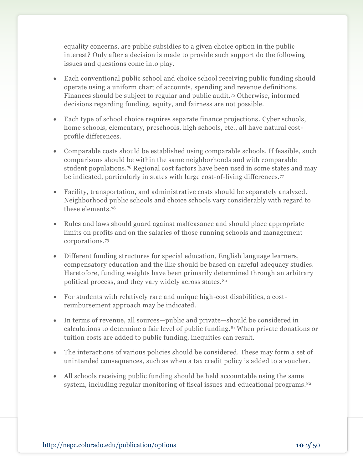equality concerns, are public subsidies to a given choice option in the public interest? Only after a decision is made to provide such support do the following issues and questions come into play.

- Each conventional public school and choice school receiving public funding should operate using a uniform chart of accounts, spending and revenue definitions. Finances should be subject to regular and public audit.<sup>75</sup> Otherwise, informed decisions regarding funding, equity, and fairness are not possible.
- Each type of school choice requires separate finance projections. Cyber schools, home schools, elementary, preschools, high schools, etc., all have natural costprofile differences.
- Comparable costs should be established using comparable schools. If feasible, such comparisons should be within the same neighborhoods and with comparable student populations.<sup>76</sup> Regional cost factors have been used in some states and may be indicated, particularly in states with large cost-of-living differences.<sup>77</sup>
- Facility, transportation, and administrative costs should be separately analyzed. Neighborhood public schools and choice schools vary considerably with regard to these elements.<sup>78</sup>
- Rules and laws should guard against malfeasance and should place appropriate limits on profits and on the salaries of those running schools and management corporations.<sup>79</sup>
- Different funding structures for special education, English language learners, compensatory education and the like should be based on careful adequacy studies. Heretofore, funding weights have been primarily determined through an arbitrary political process, and they vary widely across states.<sup>80</sup>
- For students with relatively rare and unique high-cost disabilities, a costreimbursement approach may be indicated.
- In terms of revenue, all sources—public and private—should be considered in calculations to determine a fair level of public funding.<sup>81</sup> When private donations or tuition costs are added to public funding, inequities can result.
- The interactions of various policies should be considered. These may form a set of unintended consequences, such as when a tax credit policy is added to a voucher.
- All schools receiving public funding should be held accountable using the same system, including regular monitoring of fiscal issues and educational programs.<sup>82</sup>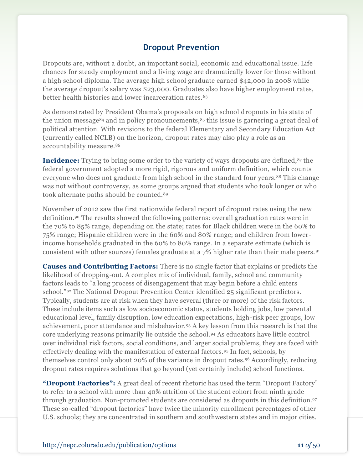## **Dropout Prevention**

Dropouts are, without a doubt, an important social, economic and educational issue. Life chances for steady employment and a living wage are dramatically lower for those without a high school diploma. The average high school graduate earned \$42,000 in 2008 while the average dropout's salary was \$23,000. Graduates also have higher employment rates, better health histories and lower incarceration rates.<sup>83</sup>

As demonstrated by President Obama's proposals on high school dropouts in his state of the union message<sup>84</sup> and in policy pronouncements,  $85$  this issue is garnering a great deal of political attention. With revisions to the federal Elementary and Secondary Education Act (currently called NCLB) on the horizon, dropout rates may also play a role as an accountability measure.<sup>86</sup>

**Incidence:** Trying to bring some order to the variety of ways dropouts are defined,<sup>87</sup> the federal government adopted a more rigid, rigorous and uniform definition, which counts everyone who does not graduate from high school in the standard four years.<sup>88</sup> This change was not without controversy, as some groups argued that students who took longer or who took alternate paths should be counted.<sup>89</sup>

November of 2012 saw the first nationwide federal report of dropout rates using the new definition.<sup>90</sup> The results showed the following patterns: overall graduation rates were in the 70% to 85% range, depending on the state; rates for Black children were in the 60% to 75% range; Hispanic children were in the 60% and 80% range; and children from lowerincome households graduated in the 60% to 80% range. In a separate estimate (which is consistent with other sources) females graduate at a 7% higher rate than their male peers. <sup>91</sup>

**Causes and Contributing Factors:** There is no single factor that explains or predicts the likelihood of dropping-out. A complex mix of individual, family, school and community factors leads to "a long process of disengagement that may begin before a child enters school."<sup>92</sup> The National Dropout Prevention Center identified 25 significant predictors. Typically, students are at risk when they have several (three or more) of the risk factors. These include items such as low socioeconomic status, students holding jobs, low parental educational level, family disruption, low education expectations, high-risk peer groups, low achievement, poor attendance and misbehavior.<sup>93</sup> A key lesson from this research is that the core underlying reasons primarily lie outside the school.<sup>94</sup> As educators have little control over individual risk factors, social conditions, and larger social problems, they are faced with effectively dealing with the manifestation of external factors.<sup>95</sup> In fact, schools, by themselves control only about 20% of the variance in dropout rates.<sup>96</sup> Accordingly, reducing dropout rates requires solutions that go beyond (yet certainly include) school functions.

**"Dropout Factories":** A great deal of recent rhetoric has used the term "Dropout Factory" to refer to a school with more than 40% attrition of the student cohort from ninth grade through graduation. Non-promoted students are considered as dropouts in this definition.<sup>97</sup> These so-called "dropout factories" have twice the minority enrollment percentages of other U.S. schools; they are concentrated in southern and southwestern states and in major cities.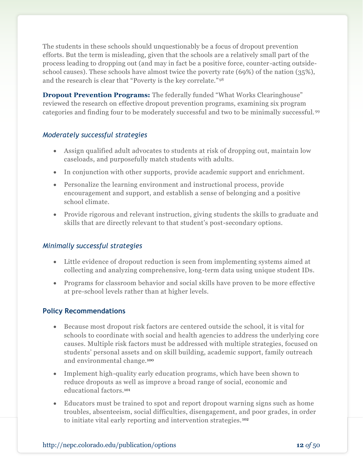The students in these schools should unquestionably be a focus of dropout prevention efforts. But the term is misleading, given that the schools are a relatively small part of the process leading to dropping out (and may in fact be a positive force, counter-acting outsideschool causes). These schools have almost twice the poverty rate (69%) of the nation (35%), and the research is clear that "Poverty is the key correlate."<sup>98</sup>

**Dropout Prevention Programs:** The federally funded "What Works Clearinghouse" reviewed the research on effective dropout prevention programs, examining six program categories and finding four to be moderately successful and two to be minimally successful. <sup>99</sup>

### *Moderately successful strategies*

- Assign qualified adult advocates to students at risk of dropping out, maintain low caseloads, and purposefully match students with adults.
- In conjunction with other supports, provide academic support and enrichment.
- Personalize the learning environment and instructional process, provide encouragement and support, and establish a sense of belonging and a positive school climate.
- Provide rigorous and relevant instruction, giving students the skills to graduate and skills that are directly relevant to that student's post-secondary options.

#### *Minimally successful strategies*

- Little evidence of dropout reduction is seen from implementing systems aimed at collecting and analyzing comprehensive, long-term data using unique student IDs.
- Programs for classroom behavior and social skills have proven to be more effective at pre-school levels rather than at higher levels.

#### **Policy Recommendations**

- Because most dropout risk factors are centered outside the school, it is vital for schools to coordinate with social and health agencies to address the underlying core causes. Multiple risk factors must be addressed with multiple strategies, focused on students' personal assets and on skill building, academic support, family outreach and environmental change.<sup>100</sup>
- Implement high-quality early education programs, which have been shown to reduce dropouts as well as improve a broad range of social, economic and educational factors.<sup>101</sup>
- Educators must be trained to spot and report dropout warning signs such as home troubles, absenteeism, social difficulties, disengagement, and poor grades, in order to initiate vital early reporting and intervention strategies. <sup>102</sup>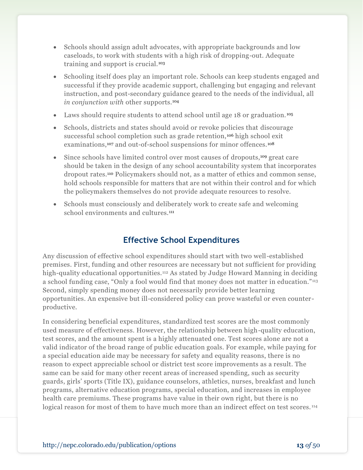- Schools should assign adult advocates, with appropriate backgrounds and low caseloads, to work with students with a high risk of dropping-out. Adequate training and support is crucial.<sup>103</sup>
- Schooling itself does play an important role. Schools can keep students engaged and successful if they provide academic support, challenging but engaging and relevant instruction, and post-secondary guidance geared to the needs of the individual, all *in conjunction with* other supports.<sup>104</sup>
- Laws should require students to attend school until age 18 or graduation.<sup>105</sup>
- Schools, districts and states should avoid or revoke policies that discourage successful school completion such as grade retention, <sup>106</sup> high school exit examinations,<sup>107</sup> and out-of-school suspensions for minor offences.<sup>108</sup>
- Since schools have limited control over most causes of dropouts,<sup>109</sup> great care should be taken in the design of any school accountability system that incorporates dropout rates.<sup>110</sup> Policymakers should not, as a matter of ethics and common sense, hold schools responsible for matters that are not within their control and for which the policymakers themselves do not provide adequate resources to resolve.
- Schools must consciously and deliberately work to create safe and welcoming school environments and cultures.<sup>111</sup>

## **Effective School Expenditures**

Any discussion of effective school expenditures should start with two well-established premises. First, funding and other resources are necessary but not sufficient for providing high-quality educational opportunities.<sup>112</sup> As stated by Judge Howard Manning in deciding a school funding case, "Only a fool would find that money does not matter in education."<sup>113</sup> Second, simply spending money does not necessarily provide better learning opportunities. An expensive but ill-considered policy can prove wasteful or even counterproductive.

In considering beneficial expenditures, standardized test scores are the most commonly used measure of effectiveness. However, the relationship between high-quality education, test scores, and the amount spent is a highly attenuated one. Test scores alone are not a valid indicator of the broad range of public education goals. For example, while paying for a special education aide may be necessary for safety and equality reasons, there is no reason to expect appreciable school or district test score improvements as a result. The same can be said for many other recent areas of increased spending, such as security guards, girls' sports (Title IX), guidance counselors, athletics, nurses, breakfast and lunch programs, alternative education programs, special education, and increases in employee health care premiums. These programs have value in their own right, but there is no logical reason for most of them to have much more than an indirect effect on test scores.<sup>114</sup>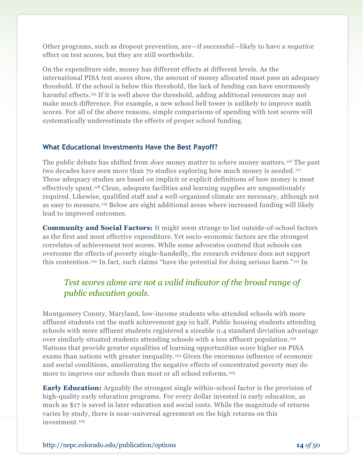Other programs, such as dropout prevention, are—if successful—likely to have a *negative* effect on test scores, but they are still worthwhile.

On the expenditure side, money has different effects at different levels. As the international PISA test scores show, the amount of money allocated must pass an adequacy threshold. If the school is below this threshold, the lack of funding can have enormously harmful effects.<sup>115</sup> If it is well above the threshold, adding additional resources may not make much difference. For example, a new school bell tower is unlikely to improve math scores. For all of the above reasons, simple comparisons of spending with test scores will systematically underestimate the effects of proper school funding.

#### **What Educational Investments Have the Best Payoff?**

The public debate has shifted from *does* money matter to *where* money matters.<sup>116</sup> The past two decades have seen more than 70 studies exploring how much money is needed. <sup>117</sup> These adequacy studies are based on implicit or explicit definitions of how money is most effectively spent.<sup>118</sup> Clean, adequate facilities and learning supplies are unquestionably required. Likewise, qualified staff and a well-organized climate are necessary, although not as easy to measure.<sup>119</sup> Below are eight additional areas where increased funding will likely lead to improved outcomes.

**Community and Social Factors:** It might seem strange to list outside-of-school factors as the first and most effective expenditure. Yet socio-economic factors are the strongest correlates of achievement test scores. While some advocates contend that schools can overcome the effects of poverty single-handedly, the research evidence does not support this contention.<sup>120</sup> In fact, such claims "have the potential for doing serious harm." <sup>121</sup> In

# *Test scores alone are not a valid indicator of the broad range of public education goals.*

Montgomery County, Maryland, low-income students who attended schools with more affluent students cut the math achievement gap in half. Public housing students attending schools with more affluent students registered a sizeable 0.4 standard deviation advantage over similarly situated students attending schools with a less affluent population. <sup>122</sup> Nations that provide greater equalities of learning opportunities score higher on PISA exams than nations with greater inequality.<sup>123</sup> Given the enormous influence of economic and social conditions, ameliorating the negative effects of concentrated poverty may do more to improve our schools than most or all school reforms. <sup>124</sup>

**Early Education:** Arguably the strongest single within-school factor is the provision of high-quality early education programs. For every dollar invested in early education, as much as \$17 is saved in later education and social costs. While the magnitude of returns varies by study, there is near-universal agreement on the high returns on this investment.125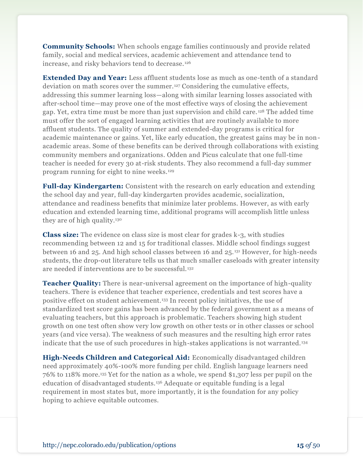**Community Schools:** When schools engage families continuously and provide related family, social and medical services, academic achievement and attendance tend to increase, and risky behaviors tend to decrease. <sup>126</sup>

**Extended Day and Year:** Less affluent students lose as much as one-tenth of a standard deviation on math scores over the summer.<sup>127</sup> Considering the cumulative effects, addressing this summer learning loss—along with similar learning losses associated with after-school time—may prove one of the most effective ways of closing the achievement gap. Yet, extra time must be more than just supervision and child care. <sup>128</sup> The added time must offer the sort of engaged learning activities that are routinely available to more affluent students. The quality of summer and extended-day programs is critical for academic maintenance or gains. Yet, like early education, the greatest gains may be in nonacademic areas. Some of these benefits can be derived through collaborations with existing community members and organizations. Odden and Picus calculate that one full-time teacher is needed for every 30 at-risk students. They also recommend a full-day summer program running for eight to nine weeks.<sup>129</sup>

**Full-day Kindergarten:** Consistent with the research on early education and extending the school day and year, full-day kindergarten provides academic, socialization, attendance and readiness benefits that minimize later problems. However, as with early education and extended learning time, additional programs will accomplish little unless they are of high quality.<sup>130</sup>

**Class size:** The evidence on class size is most clear for grades k-3, with studies recommending between 12 and 15 for traditional classes. Middle school findings suggest between 16 and 25. And high school classes between 16 and 25.<sup>131</sup> However, for high-needs students, the drop-out literature tells us that much smaller caseloads with greater intensity are needed if interventions are to be successful. <sup>132</sup>

**Teacher Quality:** There is near-universal agreement on the importance of high-quality teachers. There is evidence that teacher experience, credentials and test scores have a positive effect on student achievement.<sup>133</sup> In recent policy initiatives, the use of standardized test score gains has been advanced by the federal government as a means of evaluating teachers, but this approach is problematic. Teachers showing high student growth on one test often show very low growth on other tests or in other classes or school years (and vice versa). The weakness of such measures and the resulting high error rates indicate that the use of such procedures in high-stakes applications is not warranted.<sup>134</sup>

**High-Needs Children and Categorical Aid:** Economically disadvantaged children need approximately 40%-100% more funding per child. English language learners need 76% to 118% more.<sup>135</sup> Yet for the nation as a whole, we spend \$1,307 less per pupil on the education of disadvantaged students.<sup>136</sup> Adequate or equitable funding is a legal requirement in most states but, more importantly, it is the foundation for any policy hoping to achieve equitable outcomes.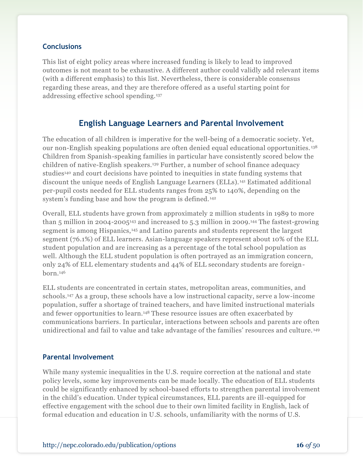#### **Conclusions**

This list of eight policy areas where increased funding is likely to lead to improved outcomes is not meant to be exhaustive. A different author could validly add relevant items (with a different emphasis) to this list. Nevertheless, there is considerable consensus regarding these areas, and they are therefore offered as a useful starting point for addressing effective school spending.<sup>137</sup>

## **English Language Learners and Parental Involvement**

The education of all children is imperative for the well-being of a democratic society. Yet, our non-English speaking populations are often denied equal educational opportunities. <sup>138</sup> Children from Spanish-speaking families in particular have consistently scored below the children of native-English speakers.<sup>139</sup> Further, a number of school finance adequacy studies<sup>140</sup> and court decisions have pointed to inequities in state funding systems that discount the unique needs of English Language Learners (ELLs). <sup>141</sup> Estimated additional per-pupil costs needed for ELL students ranges from 25% to 140%, depending on the system's funding base and how the program is defined. <sup>142</sup>

Overall, ELL students have grown from approximately 2 million students in 1989 to more than 5 million in 2004-2005<sup>143</sup> and increased to 5.3 million in 2009.<sup>144</sup> The fastest-growing segment is among Hispanics,<sup>145</sup> and Latino parents and students represent the largest segment (76.1%) of ELL learners. Asian-language speakers represent about 10% of the ELL student population and are increasing as a percentage of the total school population as well. Although the ELL student population is often portrayed as an immigration concern, only 24% of ELL elementary students and 44% of ELL secondary students are foreignborn.<sup>146</sup>

ELL students are concentrated in certain states, metropolitan areas, communities, and schools.<sup>147</sup> As a group, these schools have a low instructional capacity, serve a low-income population, suffer a shortage of trained teachers, and have limited instructional materials and fewer opportunities to learn.<sup>148</sup> These resource issues are often exacerbated by communications barriers. In particular, interactions between schools and parents are often unidirectional and fail to value and take advantage of the families' resources and culture. <sup>149</sup>

#### **Parental Involvement**

While many systemic inequalities in the U.S. require correction at the national and state policy levels, some key improvements can be made locally. The education of ELL students could be significantly enhanced by school-based efforts to strengthen parental involvement in the child's education. Under typical circumstances, ELL parents are ill-equipped for effective engagement with the school due to their own limited facility in English, lack of formal education and education in U.S. schools, unfamiliarity with the norms of U.S.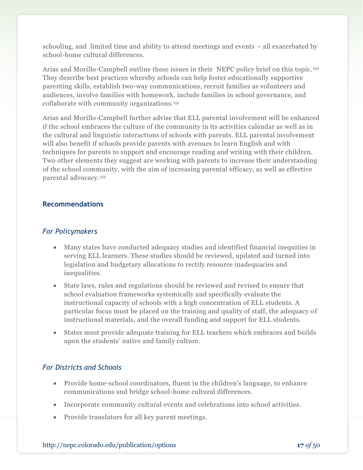schooling, and limited time and ability to attend meetings and events – all exacerbated by school-home cultural differences.

Arias and Morillo-Campbell outline these issues in their NEPC policy brief on this topic. <sup>150</sup> They describe best practices whereby schools can help foster educationally supportive parenting skills, establish two-way communications, recruit families as volunteers and audiences, involve families with homework, include families in school governance, and collaborate with community organizations.<sup>151</sup>

Arias and Morillo-Campbell further advise that ELL parental involvement will be enhanced if the school embraces the culture of the community in its activities calendar as well as in the cultural and linguistic interactions of schools with parents. ELL parental involvement will also benefit if schools provide parents with avenues to learn English and with techniques for parents to support and encourage reading and writing with their children. Two other elements they suggest are working with parents to increase their understanding of the school community, with the aim of increasing parental efficacy, as well as effective parental advocacy.<sup>152</sup>

#### **Recommendations**

#### *For Policymakers*

- Many states have conducted adequacy studies and identified financial inequities in serving ELL learners. These studies should be reviewed, updated and turned into legislation and budgetary allocations to rectify resource inadequacies and inequalities.
- State laws, rules and regulations should be reviewed and revised to ensure that school evaluation frameworks systemically and specifically evaluate the instructional capacity of schools with a high concentration of ELL students. A particular focus must be placed on the training and quality of staff, the adequacy of instructional materials, and the overall funding and support for ELL students.
- States must provide adequate training for ELL teachers which embraces and builds upon the students' native and family culture.

### *For Districts and Schools*

- Provide home-school coordinators, fluent in the children's language, to enhance communications and bridge school-home cultural differences.
- Incorporate community cultural events and celebrations into school activities.
- Provide translators for all key parent meetings.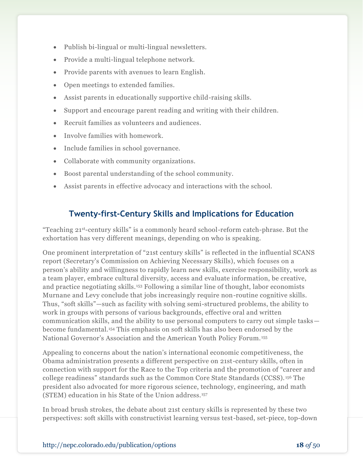- Publish bi-lingual or multi-lingual newsletters.
- Provide a multi-lingual telephone network.
- Provide parents with avenues to learn English.
- Open meetings to extended families.
- Assist parents in educationally supportive child-raising skills.
- Support and encourage parent reading and writing with their children.
- Recruit families as volunteers and audiences.
- Involve families with homework.
- Include families in school governance.
- Collaborate with community organizations.
- Boost parental understanding of the school community.
- Assist parents in effective advocacy and interactions with the school.

## **Twenty-first-Century Skills and Implications for Education**

"Teaching 21st-century skills" is a commonly heard school-reform catch-phrase. But the exhortation has very different meanings, depending on who is speaking.

One prominent interpretation of "21st century skills" is reflected in the influential SCANS report (Secretary's Commission on Achieving Necessary Skills), which focuses on a person's ability and willingness to rapidly learn new skills, exercise responsibility, work as a team player, embrace cultural diversity, access and evaluate information, be creative, and practice negotiating skills.<sup>153</sup> Following a similar line of thought, labor economists Murnane and Levy conclude that jobs increasingly require non-routine cognitive skills. Thus, "soft skills"—such as facility with solving semi-structured problems, the ability to work in groups with persons of various backgrounds, effective oral and written communication skills, and the ability to use personal computers to carry out simple tasks become fundamental.<sup>154</sup> This emphasis on soft skills has also been endorsed by the National Governor's Association and the American Youth Policy Forum. <sup>155</sup>

Appealing to concerns about the nation's international economic competitiveness, the Obama administration presents a different perspective on 21st-century skills, often in connection with support for the Race to the Top criteria and the promotion of "career and college readiness" standards such as the Common Core State Standards (CCSS). <sup>156</sup> The president also advocated for more rigorous science, technology, engineering, and math (STEM) education in his State of the Union address.<sup>157</sup>

In broad brush strokes, the debate about 21st century skills is represented by these two perspectives: soft skills with constructivist learning versus test-based, set-piece, top-down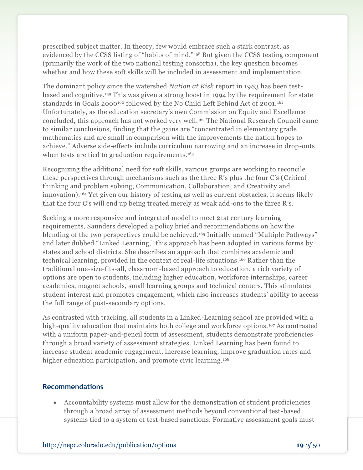prescribed subject matter. In theory, few would embrace such a stark contrast, as evidenced by the CCSS listing of "habits of mind." <sup>158</sup> But given the CCSS testing component (primarily the work of the two national testing consortia), the key question becomes whether and how these soft skills will be included in assessment and implementation.

The dominant policy since the watershed *Nation at Risk* report in 1983 has been testbased and cognitive.<sup>159</sup> This was given a strong boost in 1994 by the requirement for state standards in Goals 2000<sup>160</sup> followed by the No Child Left Behind Act of 2001.<sup>161</sup> Unfortunately, as the education secretary's own Commission on Equity and Excellence concluded, this approach has not worked very well. <sup>162</sup> The National Research Council came to similar conclusions, finding that the gains are "concentrated in elementary grade mathematics and are small in comparison with the improvements the nation hopes to achieve." Adverse side-effects include curriculum narrowing and an increase in drop-outs when tests are tied to graduation requirements.<sup>163</sup>

Recognizing the additional need for soft skills, various groups are working to reconcile these perspectives through mechanisms such as the three R's plus the four C's (Critical thinking and problem solving, Communication, Collaboration, and Creativity and innovation).<sup>164</sup> Yet given our history of testing as well as current obstacles, it seems likely that the four C's will end up being treated merely as weak add-ons to the three R's.

Seeking a more responsive and integrated model to meet 21st century learning requirements, Saunders developed a policy brief and recommendations on how the blending of the two perspectives could be achieved. <sup>165</sup> Initially named "Multiple Pathways" and later dubbed "Linked Learning," this approach has been adopted in various forms by states and school districts. She describes an approach that combines academic and technical learning, provided in the context of real-life situations.<sup>166</sup> Rather than the traditional one-size-fits-all, classroom-based approach to education, a rich variety of options are open to students, including higher education, workforce internships, career academies, magnet schools, small learning groups and technical centers. This stimulates student interest and promotes engagement, which also increases students' ability to access the full range of post-secondary options.

As contrasted with tracking, all students in a Linked-Learning school are provided with a high-quality education that maintains both college and workforce options.<sup>167</sup> As contrasted with a uniform paper-and-pencil form of assessment, students demonstrate proficiencies through a broad variety of assessment strategies. Linked Learning has been found to increase student academic engagement, increase learning, improve graduation rates and higher education participation, and promote civic learning.<sup>168</sup>

#### **Recommendations**

 Accountability systems must allow for the demonstration of student proficiencies through a broad array of assessment methods beyond conventional test-based systems tied to a system of test-based sanctions. Formative assessment goals must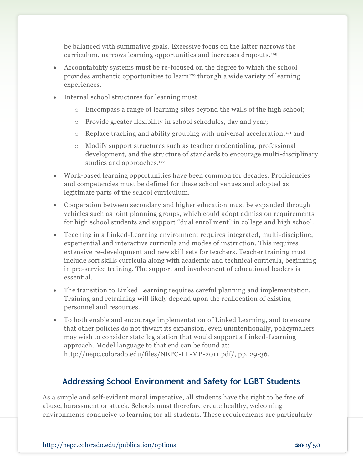be balanced with summative goals. Excessive focus on the latter narrows the curriculum, narrows learning opportunities and increases dropouts. <sup>169</sup>

- Accountability systems must be re-focused on the degree to which the school provides authentic opportunities to learn<sup>170</sup> through a wide variety of learning experiences.
- Internal school structures for learning must
	- o Encompass a range of learning sites beyond the walls of the high school;
	- o Provide greater flexibility in school schedules, day and year;
	- $\circ$  Replace tracking and ability grouping with universal acceleration;<sup>171</sup> and
	- o Modify support structures such as teacher credentialing, professional development, and the structure of standards to encourage multi-disciplinary studies and approaches.<sup>172</sup>
- Work-based learning opportunities have been common for decades. Proficiencies and competencies must be defined for these school venues and adopted as legitimate parts of the school curriculum.
- Cooperation between secondary and higher education must be expanded through vehicles such as joint planning groups, which could adopt admission requirements for high school students and support "dual enrollment" in college and high school.
- Teaching in a Linked-Learning environment requires integrated, multi-discipline, experiential and interactive curricula and modes of instruction. This requires extensive re-development and new skill sets for teachers. Teacher training must include soft skills curricula along with academic and technical curricula, beginning in pre-service training. The support and involvement of educational leaders is essential.
- The transition to Linked Learning requires careful planning and implementation. Training and retraining will likely depend upon the reallocation of existing personnel and resources.
- To both enable and encourage implementation of Linked Learning, and to ensure that other policies do not thwart its expansion, even unintentionally, policymakers may wish to consider state legislation that would support a Linked-Learning approach. Model language to that end can be found at: http://nepc.colorado.edu/files/NEPC-LL-MP-2011.pdf/, pp. 29-36.

# **Addressing School Environment and Safety for LGBT Students**

As a simple and self-evident moral imperative, all students have the right to be free of abuse, harassment or attack. Schools must therefore create healthy, welcoming environments conducive to learning for all students. These requirements are particularly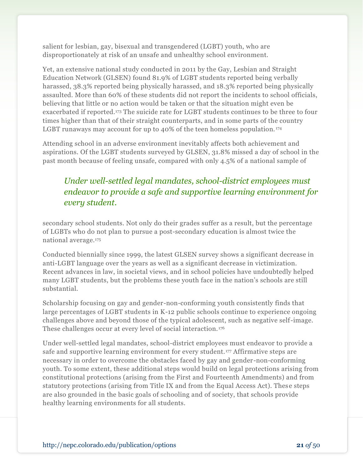salient for lesbian, gay, bisexual and transgendered (LGBT) youth, who are disproportionately at risk of an unsafe and unhealthy school environment.

Yet, an extensive national study conducted in 2011 by the Gay, Lesbian and Straight Education Network (GLSEN) found 81.9% of LGBT students reported being verbally harassed, 38.3% reported being physically harassed, and 18.3% reported being physically assaulted. More than 60% of these students did not report the incidents to school officials, believing that little or no action would be taken or that the situation might even be exacerbated if reported.<sup>173</sup> The suicide rate for LGBT students continues to be three to four times higher than that of their straight counterparts, and in some parts of the country LGBT runaways may account for up to 40% of the teen homeless population.<sup>174</sup>

Attending school in an adverse environment inevitably affects both achievement and aspirations. Of the LGBT students surveyed by GLSEN, 31.8% missed a day of school in the past month because of feeling unsafe, compared with only 4.5% of a national sample of

# *Under well-settled legal mandates, school-district employees must endeavor to provide a safe and supportive learning environment for every student.*

secondary school students. Not only do their grades suffer as a result, but the percentage of LGBTs who do not plan to pursue a post-secondary education is almost twice the national average.<sup>175</sup>

Conducted biennially since 1999, the latest GLSEN survey shows a significant decrease in anti-LGBT language over the years as well as a significant decrease in victimization. Recent advances in law, in societal views, and in school policies have undoubtedly helped many LGBT students, but the problems these youth face in the nation's schools are still substantial.

Scholarship focusing on gay and gender-non-conforming youth consistently finds that large percentages of LGBT students in K-12 public schools continue to experience ongoing challenges above and beyond those of the typical adolescent, such as negative self-image. These challenges occur at every level of social interaction.<sup>176</sup>

Under well-settled legal mandates, school-district employees must endeavor to provide a safe and supportive learning environment for every student. <sup>177</sup> Affirmative steps are necessary in order to overcome the obstacles faced by gay and gender-non-conforming youth. To some extent, these additional steps would build on legal protections arising from constitutional protections (arising from the First and Fourteenth Amendments) and from statutory protections (arising from Title IX and from the Equal Access Act). These steps are also grounded in the basic goals of schooling and of society, that schools provide healthy learning environments for all students.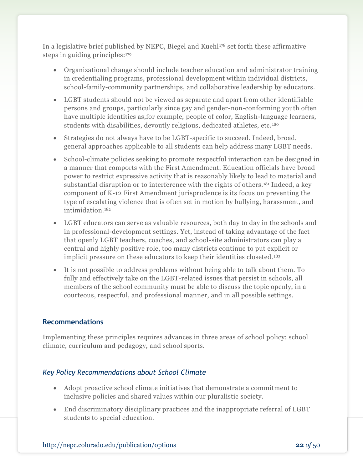In a legislative brief published by NEPC, Biegel and Kuehl $^{178}$  set forth these affirmative steps in guiding principles:<sup>179</sup>

- Organizational change should include teacher education and administrator training in credentialing programs, professional development within individual districts, school-family-community partnerships, and collaborative leadership by educators.
- LGBT students should not be viewed as separate and apart from other identifiable persons and groups, particularly since gay and gender-non-conforming youth often have multiple identities as,for example, people of color, English-language learners, students with disabilities, devoutly religious, dedicated athletes, etc.<sup>180</sup>
- Strategies do not always have to be LGBT-specific to succeed. Indeed, broad, general approaches applicable to all students can help address many LGBT needs.
- School-climate policies seeking to promote respectful interaction can be designed in a manner that comports with the First Amendment. Education officials have broad power to restrict expressive activity that is reasonably likely to lead to material and substantial disruption or to interference with the rights of others.<sup>181</sup> Indeed, a key component of K-12 First Amendment jurisprudence is its focus on preventing the type of escalating violence that is often set in motion by bullying, harassment, and intimidation.<sup>182</sup>
- LGBT educators can serve as valuable resources, both day to day in the schools and in professional-development settings. Yet, instead of taking advantage of the fact that openly LGBT teachers, coaches, and school-site administrators can play a central and highly positive role, too many districts continue to put explicit or implicit pressure on these educators to keep their identities closeted. <sup>183</sup>
- It is not possible to address problems without being able to talk about them. To fully and effectively take on the LGBT-related issues that persist in schools, all members of the school community must be able to discuss the topic openly, in a courteous, respectful, and professional manner, and in all possible settings.

#### **Recommendations**

Implementing these principles requires advances in three areas of school policy: school climate, curriculum and pedagogy, and school sports.

#### *Key Policy Recommendations about School Climate*

- Adopt proactive school climate initiatives that demonstrate a commitment to inclusive policies and shared values within our pluralistic society.
- End discriminatory disciplinary practices and the inappropriate referral of LGBT students to special education.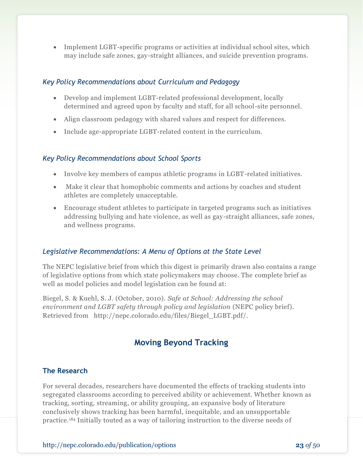Implement LGBT-specific programs or activities at individual school sites, which may include safe zones, gay-straight alliances, and suicide prevention programs.

#### *Key Policy Recommendations about Curriculum and Pedagogy*

- Develop and implement LGBT-related professional development, locally determined and agreed upon by faculty and staff, for all school-site personnel.
- Align classroom pedagogy with shared values and respect for differences.
- Include age-appropriate LGBT-related content in the curriculum.

#### *Key Policy Recommendations about School Sports*

- Involve key members of campus athletic programs in LGBT-related initiatives.
- Make it clear that homophobic comments and actions by coaches and student athletes are completely unacceptable.
- Encourage student athletes to participate in targeted programs such as initiatives addressing bullying and hate violence, as well as gay-straight alliances, safe zones, and wellness programs.

### *Legislative Recommendations: A Menu of Options at the State Level*

The NEPC legislative brief from which this digest is primarily drawn also contains a range of legislative options from which state policymakers may choose. The complete brief as well as model policies and model legislation can be found at:

Biegel, S. & Kuehl, S. J. (October, 2010). *Safe at School: Addressing the school environment and LGBT safety through policy and legislation* (NEPC policy brief). Retrieved from http://nepc.colorado.edu/files/Biegel\_LGBT.pdf/.

# **Moving Beyond Tracking**

#### **The Research**

For several decades, researchers have documented the effects of tracking students into segregated classrooms according to perceived ability or achievement. Whether known as tracking, sorting, streaming, or ability grouping, an expansive body of literature conclusively shows tracking has been harmful, inequitable, and an unsupportable practice.<sup>184</sup> Initially touted as a way of tailoring instruction to the diverse needs of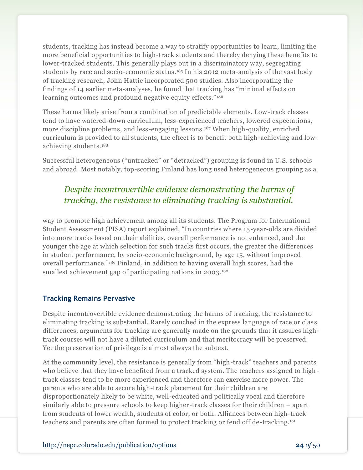students, tracking has instead become a way to stratify opportunities to learn, limiting the more beneficial opportunities to high-track students and thereby denying these benefits to lower-tracked students. This generally plays out in a discriminatory way, segregating students by race and socio-economic status.<sup>185</sup> In his 2012 meta-analysis of the vast body of tracking research, John Hattie incorporated 500 studies. Also incorporating the findings of 14 earlier meta-analyses, he found that tracking has "minimal effects on learning outcomes and profound negative equity effects."<sup>186</sup>

These harms likely arise from a combination of predictable elements. Low-track classes tend to have watered-down curriculum, less-experienced teachers, lowered expectations, more discipline problems, and less-engaging lessons.<sup>187</sup> When high-quality, enriched curriculum is provided to all students, the effect is to benefit both high-achieving and lowachieving students.<sup>188</sup>

Successful heterogeneous ("untracked" or "detracked") grouping is found in U.S. schools and abroad. Most notably, top-scoring Finland has long used heterogeneous grouping as a

# *Despite incontrovertible evidence demonstrating the harms of tracking, the resistance to eliminating tracking is substantial.*

way to promote high achievement among all its students. The Program for International Student Assessment (PISA) report explained, "In countries where 15-year-olds are divided into more tracks based on their abilities, overall performance is not enhanced, and the younger the age at which selection for such tracks first occurs, the greater the differences in student performance, by socio-economic background, by age 15, without improved overall performance."<sup>189</sup> Finland, in addition to having overall high scores, had the smallest achievement gap of participating nations in 2003.<sup>190</sup>

#### **Tracking Remains Pervasive**

Despite incontrovertible evidence demonstrating the harms of tracking, the resistance to eliminating tracking is substantial. Rarely couched in the express language of race or clas s differences, arguments for tracking are generally made on the grounds that it assures hightrack courses will not have a diluted curriculum and that meritocracy will be preserved. Yet the preservation of privilege is almost always the subtext.

At the community level, the resistance is generally from "high-track" teachers and parents who believe that they have benefited from a tracked system. The teachers assigned to hightrack classes tend to be more experienced and therefore can exercise more power. The parents who are able to secure high-track placement for their children are disproportionately likely to be white, well-educated and politically vocal and therefore similarly able to pressure schools to keep higher-track classes for their children – apart from students of lower wealth, students of color, or both. Alliances between high-track teachers and parents are often formed to protect tracking or fend off de-tracking.191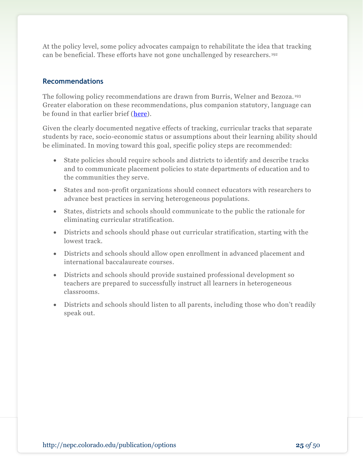At the policy level, some policy advocates campaign to rehabilitate the idea that tracking can be beneficial. These efforts have not gone unchallenged by researchers. <sup>192</sup>

#### **Recommendations**

The following policy recommendations are drawn from Burris, Welner and Bezoza. <sup>193</sup> Greater elaboration on these recommendations, plus companion statutory, language can be found in that earlier brief [\(here\)](http://nepc.colorado.edu/files/Epic-Epru_LB-UnivAcc-FINAL.pdf).

Given the clearly documented negative effects of tracking, curricular tracks that separate students by race, socio-economic status or assumptions about their learning ability should be eliminated. In moving toward this goal, specific policy steps are recommended:

- State policies should require schools and districts to identify and describe tracks and to communicate placement policies to state departments of education and to the communities they serve.
- States and non-profit organizations should connect educators with researchers to advance best practices in serving heterogeneous populations.
- States, districts and schools should communicate to the public the rationale for eliminating curricular stratification.
- Districts and schools should phase out curricular stratification, starting with the lowest track.
- Districts and schools should allow open enrollment in advanced placement and international baccalaureate courses.
- Districts and schools should provide sustained professional development so teachers are prepared to successfully instruct all learners in heterogeneous classrooms.
- Districts and schools should listen to all parents, including those who don't readily speak out.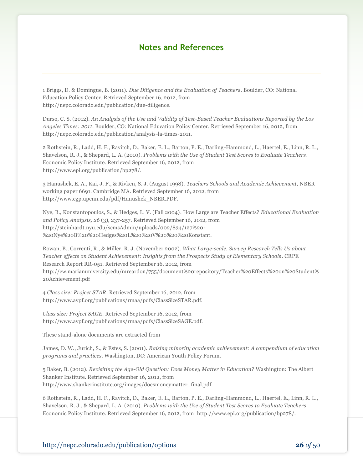## **Notes and References**

1 Briggs, D. & Domingue, B. (2011). *Due Diligence and the Evaluation of Teachers*. Boulder, CO: National Education Policy Center. Retrieved September 16, 2012, from http://nepc.colorado.edu/publication/due-diligence.

Durso, C. S. (2012). *An Analysis of the Use and Validity of Test-Based Teacher Evaluations Reported by the Los Angeles Times: 2011*. Boulder, CO: National Education Policy Center. Retrieved September 16, 2012, from http://nepc.colorado.edu/publication/analysis-la-times-2011.

2 Rothstein, R., Ladd, H. F., Ravitch, D., Baker, E. L., Barton, P. E., Darling-Hammond, L., Haertel, E., Linn, R. L., Shavelson, R. J., & Shepard, L. A. (2010). *Problems with the Use of Student Test Scores to Evaluate Teachers*. Economic Policy Institute. Retrieved September 16, 2012, from http://www.epi.org/publication/bp278/.

3 Hanushek, E. A., Kai, J. F., & Rivken, S. J. (August 1998). *Teachers Schools and Academic Achievement,* NBER working paper 6691. Cambridge MA. Retrieved September 16, 2012, from http://www.cgp.upenn.edu/pdf/Hanushek\_NBER.PDF.

Nye, B., Konstantopoulos, S., & Hedges, L. V. (Fall 2004). How Large are Teacher Effects? *Educational Evaluation and Policy Analysis, 26* (3), 237-257. Retrieved September 16, 2012, from http://steinhardt.nyu.edu/scmsAdmin/uploads/002/834/127%20- %20Nye%20B%20%20Hedges%20L%20%20V%20%20%20Konstant.

Rowan, B., Correnti, R., & Miller, R. J. (November 2002). *What Large-scale, Survey Research Tells Us about Teacher effects on Student Achievement: Insights from the Prospects Study of Elementary Schools*. CRPE Research Report RR-051. Retrieved September 16, 2012, from http://cw.marianuniversity.edu/mreardon/755/document%20repository/Teacher%20Effects%20on%20Student% 20Achievement.pdf

4 *Class size: Project STAR*. Retrieved September 16, 2012, from http://www.aypf.org/publications/rmaa/pdfs/ClassSizeSTAR.pdf.

*Class size: Project SAGE*. Retrieved September 16, 2012, from http://www.aypf.org/publications/rmaa/pdfs/ClassSizeSAGE.pdf.

These stand-alone documents are extracted from

James, D. W., Jurich, S., & Estes, S. (2001). *Raising minority academic achievement: A compendium of education programs and practices*. Washington, DC: American Youth Policy Forum.

5 Baker, B. (2012). *Revisiting the Age-Old Question: Does Money Matter in Education?* Washington: The Albert Shanker Institute. Retrieved September 16, 2012, from http://www.shankerinstitute.org/images/doesmoneymatter\_final.pdf

6 Rothstein, R., Ladd, H. F., Ravitch, D., Baker, E. L., Barton, P. E., Darling-Hammond, L., Haertel, E., Linn, R. L., Shavelson, R. J., & Shepard, L. A. (2010). *Problems with the Use of Student Test Scores to Evaluate Teachers*. Economic Policy Institute. Retrieved September 16, 2012, from http://www.epi.org/publication/bp278/.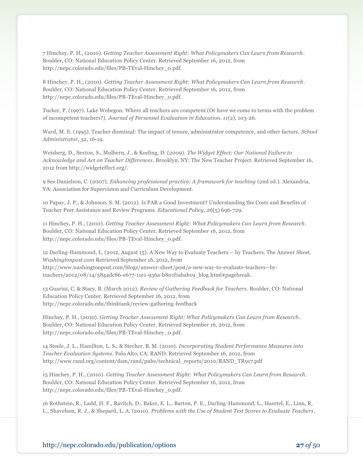7 Hinchey, P. H., (2010). *Getting Teacher Assessment Right: What Policymakers Can Learn from Research*. Boulder, CO: National Education Policy Center. Retrieved September 16, 2012, from http://nepc.colorado.edu/files/PB-TEval-Hinchey\_0.pdf.

8 Hinchey, P. H., (2010). *Getting Teacher Assessment Right: What Policymakers Can Learn from Research*. Boulder, CO: National Education Policy Center. Retrieved September 16, 2012, from http://nepc.colorado.edu/files/PB-TEval-Hinchey\_0.pdf.

Tucker, P. (1997). Lake Wobegon: Where all teachers are competent (Or have we come to terms with the problem of incompetent teachers?). *Journal of Personnel Evaluation in Education. 11*(2)*,* 103-26.

Ward, M. E. (1995). Teacher dismissal: The impact of tenure, administrator competence, and other factors. *School Administrator, 52*, 16-19.

Weisberg, D., Sexton, S., Mulhern, J., & Keeling, D. (2009). *The Widget Effect: Our National Failure to Acknowledge and Act on Teacher Differences*. Brooklyn, NY: The New Teacher Project. Retrieved September 16, 2012 from http://widgeteffect.org/.

9 See Danielson, C. (2007). *Enhancing professional practice: A framework for teaching* (2nd ed.). Alexandria, VA: Association for Supervision and Curriculum Development.

10 Papay, J. P., & Johnson, S. M. (2012). Is PAR a Good Investment? Understanding the Costs and Benefits of Teacher Peer Assistance and Review Programs. *Educational Policy, 26*(5) 696-729.

11 Hinchey, P. H., (2010). *Getting Teacher Assessment Right: What Policymakers Can Learn from Research*. Boulder, CO: National Education Policy Center. Retrieved September 16, 2012, from http://nepc.colorado.edu/files/PB-TEval-Hinchey\_0.pdf.

12 Darling-Hammond, L. (2012, August 15). A New Way to Evaluate Teachers – by Teachers. The Answer Sheet. *Washingtonpost.com* Retrieved September 16, 2012, from http://www.washingtonpost.com/blogs/answer-sheet/post/a-new-way-to-evaluate-teachers--byteachers/2012/08/14/5844dc86-e677-11e1-936a-b801f1abab19\_blog.html#pagebreak.

13 Guarini, C. & Stacy, B. (March 2012). *Review of Gathering Feedback for Teachers*. Boulder, CO: National Education Policy Center. Retrieved September 16, 2012, from http://nepc.colorado.edu/thinktank/review-gathering-feedback

Hinchey, P. H., (2010). *Getting Teacher Assessment Right: What Policymakers Can Learn from Research*. Boulder, CO: National Education Policy Center. Retrieved September 16, 2012, from http://nepc.colorado.edu/files/PB-TEval-Hinchey\_0.pdf.

14 Steele, J. L., Hamilton, L. S., & Stecher, B. M. (2010). *Incorporating Student Performance Measures into Teacher Evaluation Systems*. Palo Alto, CA: RAND. Retrieved September 16, 2012, from http://www.rand.org/content/dam/rand/pubs/technical\_reports/2010/RAND\_TR917.pdf

15 Hinchey, P. H., (2010). *Getting Teacher Assessment Right: What Policymakers Can Learn from Research*. Boulder, CO: National Education Policy Center. Retrieved September 16, 2012, from http://nepc.colorado.edu/files/PB-TEval-Hinchey\_0.pdf.

16 Rothstein, R., Ladd, H. F., Ravitch, D., Baker, E. L., Barton, P. E., Darling-Hammond, L., Haertel, E., Linn, R. L., Shavelson, R. J., & Shepard, L. A. (2010). *Problems with the Use of Student Test Scores to Evaluate Teachers*.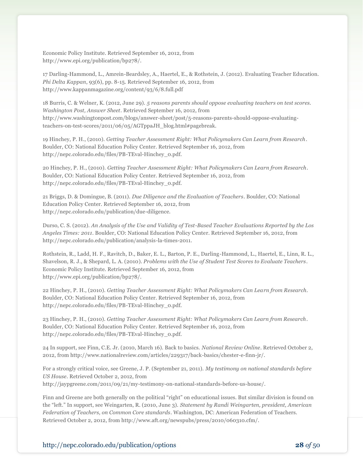Economic Policy Institute. Retrieved September 16, 2012, from http://www.epi.org/publication/bp278/.

17 Darling-Hammond, L., Amrein-Beardsley, A., Haertel, E., & Rothstein, J. (2012). Evaluating Teacher Education. *Phi Delta Kappan*, 93(6), pp. 8-15. Retrieved September 16, 2012, from http://www.kappanmagazine.org/content/93/6/8.full.pdf

18 Burris, C. & Welner, K. (2012, June 29). *5 reasons parents should oppose evaluating teachers on test scores. Washington Post, Answer Sheet*. Retrieved September 16, 2012, from http://www.washingtonpost.com/blogs/answer-sheet/post/5-reasons-parents-should-oppose-evaluatingteachers-on-test-scores/2011/06/05/AGTppaJH\_blog.html#pagebreak.

19 Hinchey, P. H., (2010). *Getting Teacher Assessment Right: What Policymakers Can Learn from Research*. Boulder, CO: National Education Policy Center. Retrieved September 16, 2012, from http://nepc.colorado.edu/files/PB-TEval-Hinchey\_0.pdf.

20 Hinchey, P. H., (2010). *Getting Teacher Assessment Right: What Policymakers Can Learn from Research*. Boulder, CO: National Education Policy Center. Retrieved September 16, 2012, from http://nepc.colorado.edu/files/PB-TEval-Hinchey\_0.pdf.

21 Briggs, D. & Domingue, B. (2011). *Due Diligence and the Evaluation of Teachers*. Boulder, CO: National Education Policy Center. Retrieved September 16, 2012, from http://nepc.colorado.edu/publication/due-diligence.

Durso, C. S. (2012). *An Analysis of the Use and Validity of Test-Based Teacher Evaluations Reported by the Los Angeles Times: 2011*. Boulder, CO: National Education Policy Center. Retrieved September 16, 2012, from http://nepc.colorado.edu/publication/analysis-la-times-2011.

Rothstein, R., Ladd, H. F., Ravitch, D., Baker, E. L., Barton, P. E., Darling-Hammond, L., Haertel, E., Linn, R. L., Shavelson, R. J., & Shepard, L. A. (2010). *Problems with the Use of Student Test Scores to Evaluate Teachers*. Economic Policy Institute. Retrieved September 16, 2012, from http://www.epi.org/publication/bp278/.

22 Hinchey, P. H., (2010). *Getting Teacher Assessment Right: What Policymakers Can Learn from Research*. Boulder, CO: National Education Policy Center. Retrieved September 16, 2012, from http://nepc.colorado.edu/files/PB-TEval-Hinchey\_0.pdf.

23 Hinchey, P. H., (2010). *Getting Teacher Assessment Right: What Policymakers Can Learn from Research*. Boulder, CO: National Education Policy Center. Retrieved September 16, 2012, from http://nepc.colorado.edu/files/PB-TEval-Hinchey\_0.pdf.

24 In support, see Finn, C.E. Jr. (2010, March 16). Back to basics. *National Review Online*. Retrieved October 2, 2012, from http://www.nationalreview.com/articles/229317/back-basics/chester-e-finn-jr/.

For a strongly critical voice, see Greene, J. P. (September 21, 2011). *My testimony on national standards before US House*. Retrieved October 2, 2012, from http://jaypgreene.com/2011/09/21/my-testimony-on-national-standards-before-us-house/.

Finn and Greene are both generally on the political "right" on educational issues. But similar division is found on the "left." In support, see Weingarten, R. (2010, June 3). *Statement by Randi Weingarten, president, American Federation of Teachers, on Common Core standards*. Washington, DC: American Federation of Teachers. Retrieved October 2, 2012, from http://www.aft.org/newspubs/press/2010/060310.cfm/.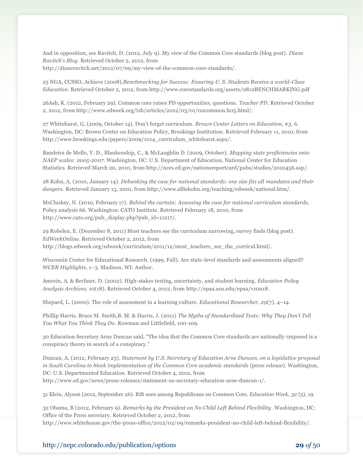And in opposition, see Ravitch, D. (2012, July 9). My view of the Common Core standards (blog post). *Diane Ravitch's Blog*. Retrieved October 2, 2012, from http://dianeravitch.net/2012/07/09/my-view-of-the-common-core-standards/.

25 NGA, CCSSO, Achieve (2008).*Benchmarking for Success: Ensuring U. S. Students Receive a world-Class Education*. Retrieved October 2, 2012, from http://www.corestandards.org/assets/0812BENCHMARKING.pdf

26Ash, K. (2012, February 29). Common core raises PD opportunities, questions. *Teacher PD*. Retrieved October 2, 2012, from http://www.edweek.org/tsb/articles/2012/03/01/02common.h05.html/.

27 Whitehurst, G, (2009, October 14). Don't forget curriculum. *Brown Center Letters on Education, #3,* 6. Washington, DC: Brown Center on Education Policy, Brookings Institution. Retrieved February 11, 2010, from http://www.brookings.edu/papers/2009/1014\_curriculum\_whitehurst.aspx/.

Bandeira de Mello, V. D., Blankenship, C., & McLaughlin D. (2009, October). *Mapping state proficiencies onto NAEP scales: 2005-2007.* Washington, DC: U.S. Department of Education, National Center for Education Statistics. Retrieved March 20, 2010, from http://nces.ed.gov/nationsreportcard/pubs/studies/2010456.asp/.

28 Kohn, A. (2010, January 14). *Debunking the case for national standards: one size fits all mandates and their dangers*. Retrieved January 13, 2010, from http://www.alfiekohn.org/teaching/edweek/national.htm/.

McCluskey, N. (2010, February 17). *Behind the curtain: Assessing the case for national curriculum standards,*  Policy analysis 66. Washington: CATO Institute. Retrieved February 18, 2010, from http://www.cato.org/pub\_display.php?pub\_id=11217/.

29 Robelen, E. (December 8, 2011) Most teachers see the curriculum narrowing, survey finds (blog post). *EdWeekOnline*. Retrieved October 2, 2012, from http://blogs.edweek.org/edweek/curriculum/2011/12/most\_teachers\_see\_the\_curricul.html/.

Wisconsin Center for Educational Research. (1999, Fall). Are state-level standards and assessments aligned? *WCER Highlights*, 1–3. Madison, WI: Author.

Amrein, A. & Berliner, D. (2002). High-stakes testing, uncertainty, and student learning. *Education Policy Analysis Archives, 10*(18). Retrieved October 4, 2012, from [http://epaa.asu.edu/epaa/v10n18.](http://epaa.asu.edu/epaa/v10n18)

Shepard, L. (2000). The role of assessment in a learning culture. *Educational Researcher, 29*(7), 4–14.

Phillip Harris, Bruce M. Smith,B. M. & Harris, J. (2011) *The Myths of Standardized Tests: Why They Don't Tell You What You Think They Do*. Rowman and Littlefield, 100-109.

30 Education Secretary Arne Duncan said, "The idea that the Common Core standards are nationally-imposed is a conspiracy theory in search of a conspiracy."

Duncan, A. (2012, February 23). *Statement by U.S. Secretary of Education Arne Duncan, on a legislative proposal in South Carolina to block implementation of the Common Core academic standards* (press release). Washington, DC: U.S. Departmentof Education. Retrieved October 4, 2012, from http://www.ed.gov/news/press-releases/statement-us-secretary-education-arne-duncan-1/.

31 Klein, Alyson (2012, September 26). Rift seen among Republicans on Common Core. *Education Week, 32* (5), 19.

32 Obama, B (2012, February 9). *Remarks by the President on No Child Left Behind Flexibility*. Washington, DC: Office of the Press secretary. Retrieved October 2, 2012, from http://www.whitehouse.gov/the-press-office/2012/02/09/remarks-president-no-child-left-behind-flexibility/.

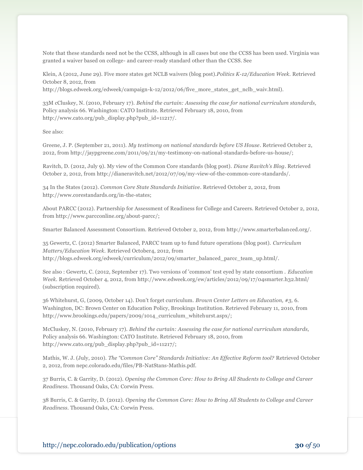Note that these standards need not be the CCSS, although in all cases but one the CCSS has been used. Virginia was granted a waiver based on college- and career-ready standard other than the CCSS. See

Klein, A (2012, June 29). Five more states get NCLB waivers (blog post).*Politics K-12/Education Week.* Retrieved October 8, 2012, from

http://blogs.edweek.org/edweek/campaign-k-12/2012/06/five more states get nclb waiv.html).

33M cCluskey, N. (2010, February 17). *Behind the curtain: Assessing the case for national curriculum standards,*  Policy analysis 66. Washington: CATO Institute. Retrieved February 18, 2010, from http://www.cato.org/pub\_display.php?pub\_id=11217/.

See also:

Greene, J. P. (September 21, 2011). *My testimony on national standards before US House*. Retrieved October 2, 2012, from http://jaypgreene.com/2011/09/21/my-testimony-on-national-standards-before-us-house/;

Ravitch, D. (2012, July 9). My view of the Common Core standards (blog post). *Diane Ravitch's Blog*. Retrieved October 2, 2012, from http://dianeravitch.net/2012/07/09/my-view-of-the-common-core-standards/.

34 In the States (2012). *Common Core State Standards Initiative*. Retrieved October 2, 2012, from http://www.corestandards.org/in-the-states;

About PARCC (2012). Partnership for Assessment of Readiness for College and Careers. Retrieved October 2, 2012, from http://www.parcconline.org/about-parcc/;

Smarter Balanced Assessment Consortium. Retrieved October 2, 2012, from http://www.smarterbalanced.org/.

35 Gewertz, C. (2012) Smarter Balanced, PARCC team up to fund future operations (blog post). *Curriculum Matters/Education Week.* Retrieved October4, 2012, from http://blogs.edweek.org/edweek/curriculum/2012/09/smarter\_balanced\_parcc\_team\_up.html/.

See also : Gewertz, C. (2012, September 17). Two versions of 'common' test eyed by state consortium . *Education Week.* Retrieved October 4, 2012, from http://www.edweek.org/ew/articles/2012/09/17/04smarter.h32.html/ (subscription required).

36 Whitehurst, G, (2009, October 14). Don't forget curriculum. *Brown Center Letters on Education, #3,* 6. Washington, DC: Brown Center on Education Policy, Brookings Institution. Retrieved February 11, 2010, from http://www.brookings.edu/papers/2009/1014\_curriculum\_whitehurst.aspx/;

McCluskey, N. (2010, February 17). *Behind the curtain: Assessing the case for national curriculum standards,*  Policy analysis 66. Washington: CATO Institute. Retrieved February 18, 2010, from http://www.cato.org/pub\_display.php?pub\_id=11217/;

Mathis, W. J. (July, 2010). *The "Common Core" Standards Initiative: An Effective Reform tool?* Retrieved October 2, 2012, from nepc.colorado.edu/files/PB-NatStans-Mathis.pdf.

37 Burris, C. & Garrity, D. (2012). *Opening the Common Core: How to Bring All Students to College and Career Readiness*. Thousand Oaks, CA: Corwin Press.

38 Burris, C. & Garrity, D. (2012). *Opening the Common Core: How to Bring All Students to College and Career Readiness*. Thousand Oaks, CA: Corwin Press.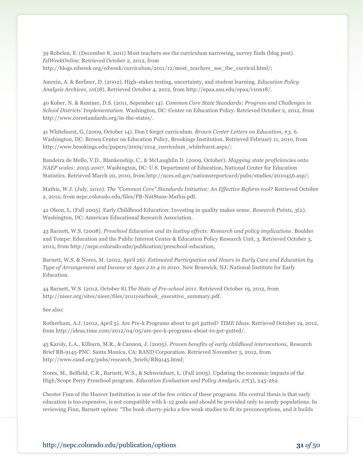39 Robelen, E. (December 8, 2011) Most teachers see the curriculum narrowing, survey finds (blog post). *EdWeekOnline*. Retrieved October 2, 2012, from http://blogs.edweek.org/edweek/curriculum/2011/12/most\_teachers\_see\_the\_curricul.html/;

Amrein, A. & Berliner, D. (2002). High-stakes testing, uncertainty, and student learning. *Education Policy Analysis Archives, 10*(18). Retrieved October 4, 2012, from [http://epaa.asu.edu/epaa/v10n18/](http://epaa.asu.edu/epaa/v10n18).

40 Kober, N. & Rentner, D.S. (2011, Sepember 14). *Common Core State Standards: Progress and Challenges in School Districts' Implementation.* Washington, DC: Center on Education Policy. Retrieved October 2, 2012, from http://www.corestandards.org/in-the-states/.

41 Whitehurst, G, (2009, October 14). Don't forget curriculum. *Brown Center Letters on Education, #3,* 6. Washington, DC: Brown Center on Education Policy, Brookings Institution. Retrieved February 11, 2010, from http://www.brookings.edu/papers/2009/1014\_curriculum\_whitehurst.aspx/;

Bandeira de Mello, V.D., Blankenship, C., & McLaughlin D. (2009, October). *Mapping state proficiencies onto NAEP scales: 2005-2007.* Washington, DC: U.S. Department of Education, National Center for Education Statistics. Retrieved March 20, 2010, from http://nces.ed.gov/nationsreportcard/pubs/studies/2010456.asp/;

Mathis, W.J. (July, 2010). *The "Common Core" Standards Initiative: An Effective Reform tool?* Retrieved October 2, 2012, from nepc.colorado.edu/files/PB-NatStans-Mathis.pdf.

42 Olson, L. (Fall 2005). Early Childhood Education: Investing in quality makes sense. *Research Points, 3*(2). Washington, DC: American Educational Research Association.

43 Barnett, W.S. (2008). *Preschool Education and its lasting effects: Research and policy implications*. Boulder and Tempe: Education and the Public Interest Center & Education Policy Research Unit, 3. Retrieved October 3, 2012, from http://nepc.colorado.edu/publication/preschool-education;

Barnett, W.S. & Nores, M. (2012, April 26). *Estimated Participation and Hours in Early Care and Education by Type of Arrangement and Income at Ages 2 to 4 in 2010.* New Bruswick, NJ: National Institute for Early Education.

44 Barnett, W.S. (2012, October 8).*The State of Pre-school 2011.* Retrieved October 19, 2012, from http://nieer.org/sites/nieer/files/2011yearbook\_executive\_summary.pdf.

See also:

Rotherham, A.J. (2012, April 5). Are Pre-k Programs about to get gutted? *TIME Ideas*. Retrieved October 19, 2012, from http://ideas.time.com/2012/04/05/are-pre-k-programs-about-to-get-gutted/.

45 Karoly, L.A., Kilburn, M.R., & Cannon, J. (2005). *Proven benefits of early childhood interventions,* Research Brief RB-9145-PNC*.* Santa Monica, CA: RAND Corporation. Retrieved November 5, 2012, from http://www.rand.org/pubs/research\_briefs/RB9145.html;

Nores, M., Belfield, C.R., Barnett, W.S., & Schweinhart, L. (Fall 2005). Updating the economic impacts of the High/Scope Perry Preschool program. *Education Evaluation and Policy Analysis, 27*(3), 245-262.

Chester Finn of the Hoover Institution is one of the few critics of these programs. His central thesis is that early education is too expensive, is not compatible with k-12 goals and should be provided only to needy populations. In reviewing Finn, Barnett opines: "The book cherry-picks a few weak studies to fit its preconceptions, and it builds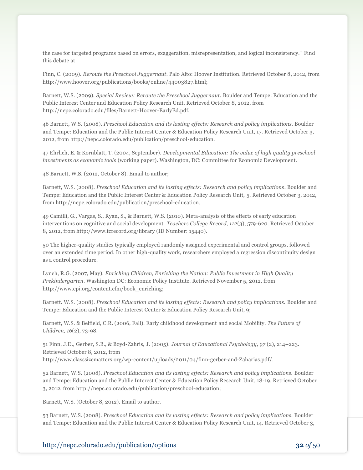the case for targeted programs based on errors, exaggeration, misrepresentation, and logical inconsistency. " Find this debate at

Finn, C. (2009). *Reroute the Preschool Juggernaut*. Palo Alto: Hoover Institution. Retrieved October 8, 2012, from http://www.hoover.org/publications/books/online/44003827.html;

Barnett, W.S. (2009). *Special Review: Reroute the Preschool Juggernaut.* Boulder and Tempe: Education and the Public Interest Center and Education Policy Research Unit. Retrieved October 8, 2012, from http://nepc.colorado.edu/files/Barnett-Hoover-EarlyEd.pdf.

46 Barnett, W.S. (2008). *Preschool Education and its lasting effects: Research and policy implications.* Boulder and Tempe: Education and the Public Interest Center & Education Policy Research Unit, 17. Retrieved October 3, 2012, from http://nepc.colorado.edu/publication/preschool-education.

47 Ehrlich, E. & Kornblatt, T. (2004, September). *Developmental Education: The value of high quality preschool investments as economic tools* (working paper). Washington, DC: Committee for Economic Development.

48 Barnett, W.S. (2012, October 8). Email to author;

Barnett, W.S. (2008). *Preschool Education and its lasting effects: Research and policy implications*. Boulder and Tempe: Education and the Public Interest Center & Education Policy Research Unit, 5. Retrieved October 3, 2012, from http://nepc.colorado.edu/publication/preschool-education.

49 Camilli, G., Vargas, S., Ryan, S., & Barnett, W.S. (2010). Meta-analysis of the effects of early education interventions on cognitive and social development. *Teachers College Record, 112*(3), 579-620. Retrieved October 8, 2012, from http://www.tcrecord.org/library (ID Number: 15440).

50 The higher-quality studies typically employed randomly assigned experimental and control groups, followed over an extended time period. In other high-quality work, researchers employed a regression discontinuity design as a control procedure.

Lynch, R.G. (2007, May). *Enriching Children, Enriching the Nation: Public Investment in High Quality Prekindergarten*. Washington DC: Economic Policy Institute. Retrieved November 5, 2012, from http://www.epi.org/content.cfm/book\_enriching;

Barnett. W.S. (2008). *Preschool Education and its lasting effects: Research and policy implications.* Boulder and Tempe: Education and the Public Interest Center & Education Policy Research Unit, 9;

Barnett, W.S. & Belfield, C.R. (2006, Fall). Early childhood development and social Mobility. *The Future of Children, 16*(2), 73-98.

51 Finn, J.D., Gerber, S.B., & Boyd-Zahris, J. (2005). *Journal of Educational Psychology, 97* (2), 214–223. Retrieved October 8, 2012, from http://www.classsizematters.org/wp-content/uploads/2011/04/finn-gerber-and-Zaharias.pdf/.

52 Barnett, W.S. (2008). *Preschool Education and its lasting effects: Research and policy implications.* Boulder and Tempe: Education and the Public Interest Center & Education Policy Research Unit, 18-19. Retrieved October 3, 2012, from http://nepc.colorado.edu/publication/preschool-education;

Barnett, W.S. (October 8, 2012). Email to author.

53 Barnett, W.S. (2008). *Preschool Education and its lasting effects: Research and policy implications.* Boulder and Tempe: Education and the Public Interest Center & Education Policy Research Unit, 14. Retrieved October 3,

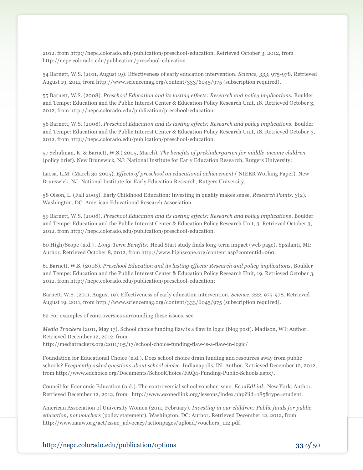2012, from http://nepc.colorado.edu/publication/preschool-education. Retrieved October 3, 2012, from http://nepc.colorado.edu/publication/preschool-education.

54 Barnett, W.S. (2011, August 19). Effectiveness of early education intervention. *Science, 333*, 975-978. Retrieved August 19, 2011, from http://www.sciencemag.org/content/333/6045/975 (subscription required).

55 Barnett, W.S. (2008). *Preschool Education and its lasting effects: Research and policy implications.* Boulder and Tempe: Education and the Public Interest Center & Education Policy Research Unit, 18. Retrieved October 3, 2012, from http://nepc.colorado.edu/publication/preschool-education.

56 Barnett, W.S. (2008). *Preschool Education and its lasting effects: Research and policy implications.* Boulder and Tempe: Education and the Public Interest Center & Education Policy Research Unit, 18. Retrieved October 3, 2012, from http://nepc.colorado.edu/publication/preschool-education.

57 Schulman, K. & Barnett, W.S.( 2005, March). *The benefits of prekindergarten for middle-income children* (policy brief). New Brunswick, NJ: National Institute for Early Education Research, Rutgers University;

Laosa, L.M. (March 30 2005). *Effects of preschool on educational achievement* ( NIEER Working Paper). New Brunswick, NJ: National Institute for Early Education Research, Rutgers University.

58 Olson, L. (Fall 2005). Early Childhood Education: Investing in quality makes sense. *Research Points, 3*(2). Washington, DC: American Educational Research Association.

59 Barnett, W.S. (2008). *Preschool Education and its lasting effects: Research and policy implications*. Boulder and Tempe: Education and the Public Interest Center & Education Policy Research Unit, 3. Retrieved October 3, 2012, from http://nepc.colorado.edu/publication/preschool-education.

60 High/Scope (n.d.) . *Long-Term Benefits:* Head Start study finds long-term impact (web page), Ypsilanti, MI: Author. Retrieved October 8, 2012, from http://www.highscope.org/content.asp?contentid=260.

61 Barnett, W.S. (2008). *Preschool Education and its lasting effects: Research and policy implications*. Boulder and Tempe: Education and the Public Interest Center & Education Policy Research Unit, 19. Retrieved October 3, 2012, from http://nepc.colorado.edu/publication/preschool-education;

Barnett, W.S. (2011, August 19). Effectiveness of early education intervention. *Science, 333*, 975-978. Retrieved August 19, 2011, from http://www.sciencemag.org/content/333/6045/975 (subscription required).

62 For examples of controversies surrounding these issues, see

*Media Trackers* (2011, May 17). School choice funding flaw is a flaw in logic (blog post). Madison, WI: Author. Retrieved December 12, 2012, from http://mediatrackers.org/2011/05/17/school-choice-funding-flaw-is-a-flaw-in-logic/

Foundation for Educational Choice (n.d.). Does school choice drain funding and resources away from public schools? *Frequently asked questions about school choice.* Indianapolis, IN: Author. Retrieved December 12, 2012, from http://www.edchoice.org/Documents/SchoolChoice/FAQ4-Funding-Public-Schools.aspx/.

Council for Economic Education (n.d.). The controversial school voucher issue. *EconEdLink*. New York: Author. Retrieved December 12, 2012, from http://www.econedlink.org/lessons/index.php?lid=185&type=student.

American Association of University Women (2011, February). *Investing in our children: Public funds for public education, not vouchers* (policy statement). Washington, DC: Author. Retrieved December 12, 2012, from http://www.aauw.org/act/issue\_advocacy/actionpages/upload/vouchers\_112.pdf.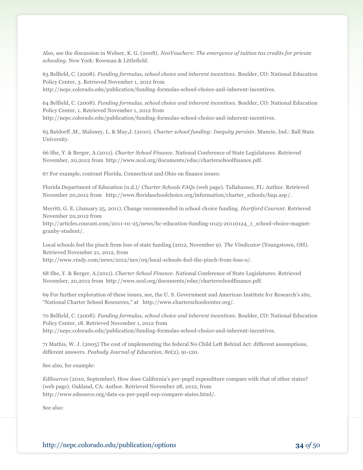Also, see the discussion in Welner, K. G. (2008). *NeoVouchers: The emergence of tuition tax credits for private schooling*. New York: Rowman & Littlefield.

63 Belfield, C. (2008). *Funding formulas, school choice and inherent incentives*. Boulder, CO: National Education Policy Center, 3. Retrieved November 1, 2012 from http://nepc.colorado.edu/publication/funding-formulas-school-choice-and-inherent-incentives.

64 Belfield, C. (2008). *Funding formulas, school choice and inherent incentives*. Boulder, CO: National Education Policy Center, 1. Retrieved November 1, 2012 from http://nepc.colorado.edu/publication/funding-formulas-school-choice-and-inherent-incentives.

65 Batdorff ,M., Maloney, L. & May,J. (2010). *Charter school funding: Inequity persists*. Muncie, Ind.: Ball State University.

66 She, Y. & Berger, A.(2011). *Charter School Finance*. National Conference of State Legislatures. Retrieved November, 20,2012 from http://www.ncsl.org/documents/educ/charterschoolfinance.pdf.

67 For example, contrast Florida, Connecticut and Ohio on finance issues:

Florida Department of Education (n.d.)/ *Charter Schools FAQs* (web page). Tallahassee, FL: Author. Retrieved November 20,2012 from http://www.floridaschoolchoice.org/information/charter\_schools/faqs.asp/.

Merritt, G. E. (January 25, 2011). Change recommended in school choice funding. *Hartford Courant*. Retrieved November 20,2012 from

http://articles.courant.com/2011-01-25/news/hc-education-funding-0125-20110124\_1\_school-choice-magnetgranby-student/.

Local schools feel the pinch from loss of state funding (2012, November 9). *The Vindicator* (Youngstown, OH). Retrieved November 21, 2012, from

http://www.vindy.com/news/2012/nov/09/local-schools-feel-the-pinch-from-loss-o/.

68 She, Y. & Berger, A.(2011). *Charter School Finance*. National Conference of State Legislatures. Retrieved November, 20,2012 from http://www.ncsl.org/documents/educ/charterschoolfinance.pdf.

69 For further exploration of these issues, see, the U. S. Government and American Institute for Research's site, "National Charter School Resources," at http://www.charterschoolcenter.org/.

70 Belfield, C. (2008). *Funding formulas, school choice and inherent incentives*. Boulder, CO: National Education Policy Center, 18. Retrieved November 1, 2012 from http://nepc.colorado.edu/publication/funding-formulas-school-choice-and-inherent-incentives.

71 Mathis, W. J. (2005) The cost of implementing the federal No Child Left Behind Act: different assumptions, different answers. *Peabody Journal of Education*, *80*(2), 91-120.

See also, for example:

*EdSources* (2010, September). How does California's per-pupil expenditure compare with that of other states? (web page). Oakland, CA: Author. Retrieved November 28, 2012, from http://www.edsource.org/data-ca-per-pupil-exp-compare-states.html/.

See also: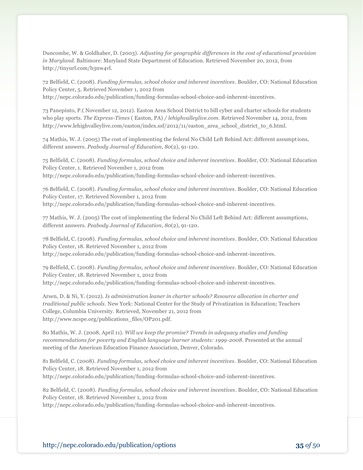Duncombe, W. & Goldhaber, D. (2003). *Adjusting for geographic differences in the cost of educational provision in Maryland*. Baltimore: Maryland State Department of Education. Retrieved November 20, 2012, from http://tinyurl.com/b3nw4vl.

72 Belfield, C. (2008). *Funding formulas, school choice and inherent incentives*. Boulder, CO: National Education Policy Center, 5. Retrieved November 1, 2012 from http://nepc.colorado.edu/publication/funding-formulas-school-choice-and-inherent-incentives.

73 Panepinto, P.( November 12, 2012). Easton Area School District to bill cyber and charter schools for students who play sports. *The Express-Times* ( Easton, PA) */ lehighvalleylive.com*. Retrieved November 14, 2012, from http://www.lehighvalleylive.com/easton/index.ssf/2012/11/easton\_area\_school\_district\_to\_6.html.

74 Mathis, W. J. (2005) The cost of implementing the federal No Child Left Behind Act: different assumptions, different answers. *Peabody Journal of Education*, *80*(2), 91-120.

75 Belfield, C. (2008). *Funding formulas, school choice and inherent incentives*. Boulder, CO: National Education Policy Center, 1. Retrieved November 1, 2012 from http://nepc.colorado.edu/publication/funding-formulas-school-choice-and-inherent-incentives.

76 Belfield, C. (2008). *Funding formulas, school choice and inherent incentives*. Boulder, CO: National Education Policy Center, 17. Retrieved November 1, 2012 from http://nepc.colorado.edu/publication/funding-formulas-school-choice-and-inherent-incentives.

77 Mathis, W. J. (2005) The cost of implementing the federal No Child Left Behind Act: different assumptions, different answers. *Peabody Journal of Education*, *80*(2), 91-120.

78 Belfield, C. (2008). *Funding formulas, school choice and inherent incentives*. Boulder, CO: National Education Policy Center, 18. Retrieved November 1, 2012 from http://nepc.colorado.edu/publication/funding-formulas-school-choice-and-inherent-incentives.

79 Belfield, C. (2008). *Funding formulas, school choice and inherent incentives*. Boulder, CO: National Education Policy Center, 18. Retrieved November 1, 2012 from http://nepc.colorado.edu/publication/funding-formulas-school-choice-and-inherent-incentives.

Arsen, D. & Ni, Y. (2012). *Is administration leaner in charter schools? Resource allocation in charter and traditional public schools*. New York: National Center for the Study of Privatization in Education; Teachers College, Columbia University. Retrieved, November 21, 2012 from http://www.ncspe.org/publications\_files/OP201.pdf.

80 Mathis, W. J. (2008, April 11). *Will we keep the promise? Trends in adequacy studies and funding recommendations for poverty and English language learner students: 1999-2008*. Presented at the annual meeting of the American Education Finance Association, Denver, Colorado.

81 Belfield, C. (2008). *Funding formulas, school choice and inherent incentives*. Boulder, CO: National Education Policy Center, 18. Retrieved November 1, 2012 from http://nepc.colorado.edu/publication/funding-formulas-school-choice-and-inherent-incentives.

82 Belfield, C. (2008). *Funding formulas, school choice and inherent incentives*. Boulder, CO: National Education Policy Center, 18. Retrieved November 1, 2012 from

http://nepc.colorado.edu/publication/funding-formulas-school-choice-and-inherent-incentives.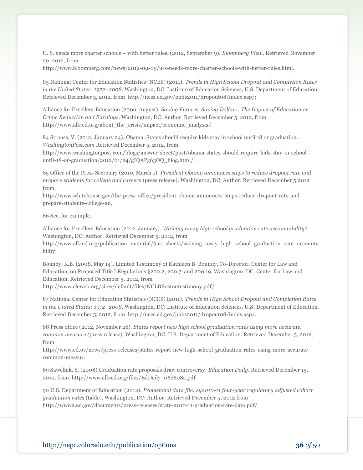U. S. needs more charter schools – with better rules. (2012, September 9). *Bloomberg View*. Retrieved November 20, 2012, from

http://www.bloomberg.com/news/2012-09-09/u-s-needs-more-charter-schools-with-better-rules.html.

83 National Center for Education Statistics (NCES) (2011). *[Trends in High School Dropout and Completion Rates](http://nces.ed.gov/pubs2011/dropout08/index.asp)  [in the United States: 1972](http://nces.ed.gov/pubs2011/dropout08/index.asp)–2008*. Washington, DC: Institute of Education Sciences, U.S. Department of Education. Retrieved December 5, 2012, from http://nces.ed.gov/pubs2011/dropout08/index.asp/;

Alliance for Excellent Education (2006, August). *Saving Futures, Saving Dollars: The Impact of Education on Crime Reduction and Earnings*. Washington, DC: Author. Retrieved December 5, 2012, from http://www.all4ed.org/about\_the\_crisis/impact/economic\_analysis/.

84 Strauss, V. (2012, January 24). Obama: States should require kids stay in school until 18 or graduation. *WashingtonPost.com* Retrieved December 5, 2012, from

http://www.washingtonpost.com/blogs/answer-sheet/post/obama-states-should-require-kids-stay-in-schooluntil-18-or-graduation/2012/01/24/gIQAPg63OQ\_blog.html/.

85 Office of the Press Secretary (2010, March 1). *President Obama announces steps to reduce dropout rate and prepare students for college and careers* (press release). Washington, DC: Author. Retrieved December 5,2012 from

http://www.whitehouse.gov/the-press-office/president-obama-announces-steps-reduce-dropout-rate-andprepare-students-college-an.

86 See, for example,

Alliance for Excellent Education (2012, January). *Waiving away high school graduation rate accountability?* Washington, DC: Author. Retrieved December 5, 2012, from

http://www.all4ed.org/publication\_material/fact\_sheets/waiving\_away\_high\_school\_graduation\_rate\_accounta bility;

Boundy, K.B. (2008, May 14). Limited Testimony of Kathleen B. Boundy, Co-Director, Center for Law and Education, on Proposed Title I Regulations §200.2, 200.7, and 200.19. Washington, DC: Center for Law and Education. Retrieved December 5, 2012, from

http://www.cleweb.org/sites/default/files/NCLBBostontestimony.pdf/.

87 National Center for Education Statistics (NCES) (2011). *[Trends in High School Dropout and Completion Rates](http://nces.ed.gov/pubs2011/dropout08/index.asp)  [in the United States: 1972](http://nces.ed.gov/pubs2011/dropout08/index.asp)–2008*. Washington, DC: Institute of Education Sciences, U.S. Department of Education. Retrieved December 5, 2012, from http://nces.ed.gov/pubs2011/dropout08/index.asp/.

88 Press office (2012, November 26). *States report new high school graduation rates using more accurate, common measure (*press release). Washington, DC: U.S. Department of Education. Retrieved December 5, 2012, from

http://www.ed.ov/news/press-releases/states-report-new-high-school-graduation-rates-using-more-accuratecommon-measur.

89 Sawchuk, S. (2008).Graduation rate proposals draw controversy. *Education Daily*. Retrieved December 15, 2012, from http://www.all4ed.org/files/EdDaily\_062608a.pdf.

90 U.S. Department of Education (2012). *Provisional data file: sy2010-11 four-year regulatory adjusted cohort graduation rates* (table). Washington, DC: Author. Retrieved December 5, 2012 from http://www2.ed.gov/documents/press-releases/state-2010-11-graduation-rate-data.pdf/.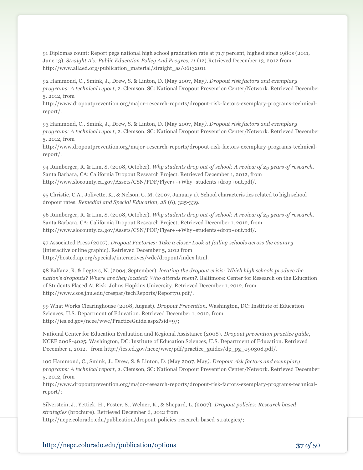91 Diplomas count: Report pegs national high school graduation rate at 71.7 percent, highest since 1980s (2011, June 13). *Straight A's: Public Education Policy And Progres, 11* (12).Retrieved December 13, 2012 from http://www.all4ed.org/publication\_material/straight\_as/06132011

92 Hammond, C., Smink, J., Drew, S. & Linton, D. (May 2007, May*). Dropout risk factors and exemplary programs: A technical report*, 2. Clemson, SC: National Dropout Prevention Center/Network. Retrieved December 5, 2012, from

http://www.dropoutprevention.org/major-research-reports/dropout-risk-factors-exemplary-programs-technicalreport/.

93 Hammond, C., Smink, J., Drew, S. & Linton, D. (May 2007, May*). Dropout risk factors and exemplary programs: A technical report*, 2. Clemson, SC: National Dropout Prevention Center/Network. Retrieved December 5, 2012, from

http://www.dropoutprevention.org/major-research-reports/dropout-risk-factors-exemplary-programs-technicalreport/.

94 Rumberger, R. & Lim, S. (2008, October). *Why students drop out of school: A review of 25 years of research.* Santa Barbara, CA: California Dropout Research Project. Retrieved December 1, 2012, from http://www.slocounty.ca.gov/Assets/CSN/PDF/Flyer+-+Why+students+drop+out.pdf/.

95 Christie, C.A., Jolivette, K., & Nelson, C. M. (2007, January 1). School characteristics related to high school dropout rates. *Remedial and Special Education, 28* (6), 325-339.

96 Rumberger, R. & Lim, S. (2008, October). *Why students drop out of school: A review of 25 years of research.* Santa Barbara, CA: California Dropout Research Project. Retrieved December 1, 2012, from http://www.slocounty.ca.gov/Assets/CSN/PDF/Flyer+-+Why+students+drop+out.pdf/.

97 Associated Press (2007). *Dropout Factories: Take a closer Look at failing schools across the country* (interactive online graphic). Retrieved December 5, 2012 from http://hosted.ap.org/specials/interactives/wdc/dropout/index.html.

98 Balfanz, R. & Legters, N. (2004, September). *locating the dropout crisis: Which high schools produce the nation's dropouts? Where are they located? Who attends them?.* Baltimore: Center for Research on the Education of Students Placed At Risk, Johns Hopkins University. Retrieved December 1, 2012, from http://www.csos.jhu.edu/crespar/techReports/Report70.pdf/.

99 What Works Clearinghouse (2008, August). *Dropout Prevention*. Washington, DC: Institute of Education Sciences, U.S. Department of Education. Retrieved December 1, 2012, from http://ies.ed.gov/ncee/wwc/PracticeGuide.aspx?sid=9/;

National Center for Education Evaluation and Regional Assistance (2008). *Dropout prevention practice guide*, NCEE 2008-4025. Washington, DC: Institute of Education Sciences, U.S. Department of Education. Retrieved December 1, 2012, from http://ies.ed.gov/ncee/wwc/pdf/practice\_guides/dp\_pg\_090308.pdf/.

100 Hammond, C., Smink, J., Drew, S. & Linton, D. (May 2007, May*). Dropout risk factors and exemplary programs: A technical report*, 2. Clemson, SC: National Dropout Prevention Center/Network. Retrieved December 5, 2012, from

http://www.dropoutprevention.org/major-research-reports/dropout-risk-factors-exemplary-programs-technicalreport/;

Silverstein, J., Yettick, H., Foster, S., Welner, K., & Shepard, L. (2007). *Dropout policies: Research based strategies* (brochure). Retrieved December 6, 2012 from http://nepc.colorado.edu/publication/dropout-policies-research-based-strategies/;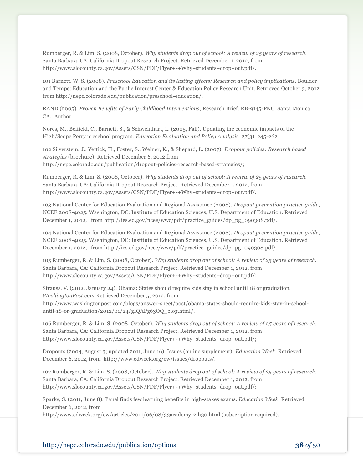Rumberger, R. & Lim, S. (2008, October). *Why students drop out of school: A review of 25 years of research.* Santa Barbara, CA: California Dropout Research Project. Retrieved December 1, 2012, from http://www.slocounty.ca.gov/Assets/CSN/PDF/Flyer+-+Why+students+drop+out.pdf/.

101 Barnett. W. S. (2008). *Preschool Education and its lasting effects: Research and policy implications*. Boulder and Tempe: Education and the Public Interest Center & Education Policy Research Unit. Retrieved October 3, 2012 from http://nepc.colorado.edu/publication/preschool-education/.

RAND (2005). *Proven Benefits of Early Childhood Interventions*, Research Brief. RB-9145-PNC. Santa Monica, CA.: Author.

Nores, M., Belfield, C., Barnett, S., & Schweinhart, L. (2005, Fall). Updating the economic impacts of the High/Scope Perry preschool program. *Education Evaluation and Policy Analysis. 27*(3), 245-262.

102 Silverstein, J., Yettick, H., Foster, S., Welner, K., & Shepard, L. (2007). *Dropout policies: Research based strategies* (brochure). Retrieved December 6, 2012 from http://nepc.colorado.edu/publication/dropout-policies-research-based-strategies/;

Rumberger, R. & Lim, S. (2008, October). *Why students drop out of school: A review of 25 years of research.* Santa Barbara, CA: California Dropout Research Project. Retrieved December 1, 2012, from http://www.slocounty.ca.gov/Assets/CSN/PDF/Flyer+-+Why+students+drop+out.pdf/.

103 National Center for Education Evaluation and Regional Assistance (2008). *Dropout prevention practice guide*, NCEE 2008-4025. Washington, DC: Institute of Education Sciences, U.S. Department of Education. Retrieved December 1, 2012, from http://ies.ed.gov/ncee/wwc/pdf/practice\_guides/dp\_pg\_090308.pdf/.

104 National Center for Education Evaluation and Regional Assistance (2008). *Dropout prevention practice guide*, NCEE 2008-4025. Washington, DC: Institute of Education Sciences, U.S. Department of Education. Retrieved December 1, 2012, from http://ies.ed.gov/ncee/wwc/pdf/practice\_guides/dp\_pg\_090308.pdf/.

105 Rumberger, R. & Lim, S. (2008, October). *Why students drop out of school: A review of 25 years of research.* Santa Barbara, CA: California Dropout Research Project. Retrieved December 1, 2012, from http://www.slocounty.ca.gov/Assets/CSN/PDF/Flyer+-+Why+students+drop+out.pdf/;

Strauss, V. (2012, January 24). Obama: States should require kids stay in school until 18 or graduation. *WashingtonPost.com* Retrieved December 5, 2012, from http://www.washingtonpost.com/blogs/answer-sheet/post/obama-states-should-require-kids-stay-in-schooluntil-18-or-graduation/2012/01/24/gIQAPg63OQ\_blog.html/.

106 Rumberger, R. & Lim, S. (2008, October). *Why students drop out of school: A review of 25 years of research.* Santa Barbara, CA: California Dropout Research Project. Retrieved December 1, 2012, from http://www.slocounty.ca.gov/Assets/CSN/PDF/Flyer+-+Why+students+drop+out.pdf/;

Dropouts (2004, August 3; updated 2011, June 16). Issues (online supplement). *Education Week.* Retrieved December 6, 2012, from http://www.edweek.org/ew/issues/dropouts/.

107 Rumberger, R. & Lim, S. (2008, October). *Why students drop out of school: A review of 25 years of research.* Santa Barbara, CA: California Dropout Research Project. Retrieved December 1, 2012, from http://www.slocounty.ca.gov/Assets/CSN/PDF/Flyer+-+Why+students+drop+out.pdf/;

Sparks, S. (2011, June 8). Panel finds few learning benefits in high-stakes exams. *Education Week*. Retrieved December 6, 2012, from

http://www.edweek.org/ew/articles/2011/06/08/33academy-2.h30.html (subscription required).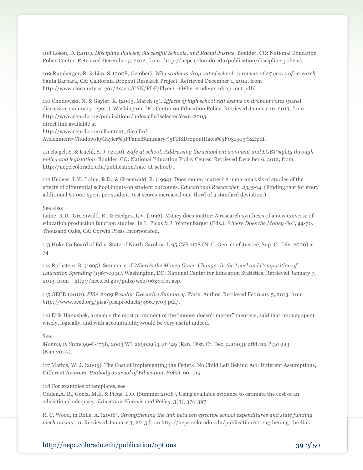108 Losen, D. (2011). *Discipline Policies, Successful Schools, and Racial Justice*. Boulder, CO: National Education Policy Center. Retrieved December 5, 2012, from http://nepc.colorado.edu/publication/discipline-policies.

109 Rumberger, R. & Lim, S. (2008, October). *Why students drop out of school: A review of 25 years of research.* Santa Barbara, CA: California Dropout Research Project. Retrieved December 1, 2012, from http://www.slocounty.ca.gov/Assets/CSN/PDF/Flyer+-+Why+students+drop+out.pdf/.

110 Chudowski, N. & Gayler, K. (2003, March 15). *Effects of high school exit exams on dropout rates* (panel discussion summary report). Washington, DC: Center on Education Policy. Retrieved January 16, 2013, from http://www.cep-dc.org/publications/index.cfm?selectedYear=2003; direct link available at

http://www.cep-dc.org/cfcontent\_file.cfm?

Attachment=ChudowskyGayler%5FPanelSummary%5FHSDropoutRates%5F031503%2Epdf.

111 Biegel, S. & Kuehl, S. J. (2010). *Safe at school: Addressing the school environment and LGBT safety through policy and legislation*. Boulder, CO: National Education Policy Center. Retrieved Dece,ber 6. 2012, from http://nepc.colorado.edu/publication/safe-at-school/.

112 Hedges, L.V., Laine, R.D., & Greenwald, R. (1994). Does money matter? A meta-analysis of studies of the effects of differential school inputs on student outcomes. *Educational Researcher, 23,* 5-14. (Finding that for every additional \$1,000 spent per student, test scores increased one-third of a standard deviation.)

#### See also:

Laine, R.D., Greenwald, R., & Hedges, L.V. (1996). Money does matter: A research synthesis of a new universe of education production function studies. In L. Picus & J. Wattenbarger (Eds.), *Where Does the Money Go?*, 44-70. Thousand Oaks, CA: Corwin Press Incorporated.

113 Hoke Co Board of Ed v. State of North Carolina I, 95 CVS 1158 (N. C. Gen. ct of Justice, Sup. Ct. Div, 2000) at 74

114 Rothstein, R. (1995). Summary of *Where's the Money Gone: Changes in the Level and Composition of Education Spending (1967-1991)*. Washington, DC: National Center for Education Statistics. Retrieved January 7, 2013, from http://nces.ed.gov/pubs/web/96344rot.asp.

115 OECD (2010). *PISA 2009 Results: Executive Summary*. Paris: Author. Retrieved February 5, 2013, from *http://*www.oecd.org/pisa/pisaproducts/46619703.pdf/.

116 Erik Hanushek, arguably the most prominent of the "money doesn't matter" theorists, said that "money spent wisely, logically, and with accountability would be very useful indeed."

#### See:

*Montoy v. State*,99-C-1738, 2003 WL 22902963, at \*49 (Kan. Dist. Ct. Dec. 2.2003), affd,112 P.3d 923 (Kan.2005).

117 Mathis, W. J. (2005). The Cost of Implementing the Federal No Child Left Behind Act: Different Assumptions, Different Answers. *Peabody Journal of Education, 80*(2), 90–119.

#### 118 For examples of templates, see

Odden,A. R., Goetz, M.E. & Picus, L.O. (Summer 2008). Using available evidence to estimate the cost of an educational adequacy. *Education Finance and Policy, 3*(3), 374-397.

R. C. Wood, in Rolle, A. (2008). *Strengthening the link between effective school expenditures and state funding mechanisms*, 16. Retrieved January 3, 2013 from http://nepc.colorado.edu/publication/strengthening-the-link.

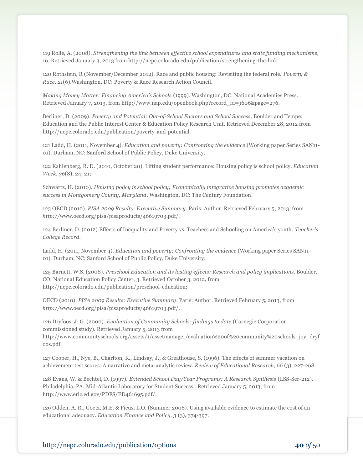119 Rolle, A. (2008). *Strengthening the link between effective school expenditures and state funding mechanisms*, 16. Retrieved January 3, 2013 from http://nepc.colorado.edu/publication/strengthening-the-link.

120 Rothstein, R (November/December 2012). Race and public housing: Revisiting the federal role. *Poverty & Race, 21*(6).Washington, DC: Poverty & Race Research Action Council.

*Making Money Matter: Financing America's Schools* (1999). Washington, DC: National Academies Press. Retrieved January 7, 2013, from http://www.nap.edu/openbook.php?record\_id=9606&page=276.

Berliner, D. (2009). *Poverty and Potential: Out-of-School Factors and School Success*. Boulder and Tempe: Education and the Public Interest Center & Education Policy Research Unit. Retrieved December 28, 2012 from http://nepc.colorado.edu/publication/poverty-and-potential.

121 Ladd, H. (2011, November 4). *Education and poverty: Confronting the evidence* (Working paper Series SAN11- 01). Durham, NC: Sanford School of Public Policy, Duke University.

122 Kahlenberg, R. D. (2010, October 20). Lifting student performance: Housing policy is school policy. *Education Week, 36*(8), 24, 21;

Schwartz, H. (2010). *Housing policy is school policy; Economically integrative housing promotes academic success in Montgomery County, Maryland*. Washington, DC: The Century Foundation.

123 OECD (2010). *PISA 2009 Results: Executive Summary*. Paris: Author. Retrieved February 5, 2013, from *http://*www.oecd.org/pisa/pisaproducts/46619703.pdf/.

124 Berliner, D. (2012).Effects of Inequality and Poverty vs. Teachers and Schooling on America's youth. *Teacher's College Record*.

Ladd, H. (2011, November 4). *Education and poverty: Confronting the evidence* (Working paper Series SAN11- 01). Durham, NC: Sanford School of Public Policy, Duke University;

125 Barnett, W.S. (2008). *Preschool Education and its lasting effects: Research and policy implications*. Boulder, CO: National Education Policy Center, 3. Retrieved October 3, 2012, from http://nepc.colorado.edu/publication/preschool-education;

OECD (2010). *PISA 2009 Results: Executive Summary*. Paris: Author. Retrieved February 5, 2013, from *http://*www.oecd.org/pisa/pisaproducts/46619703.pdf/.

126 Dryfoos, J. G. (2000). *Evaluation of Community Schools: findings to date* (Carnegie Corporation commissioned study). Retrieved January 5, 2013 from

http://www.communityschools.org/assets/1/assetmanager/evaluation%20of%20community%20schools\_joy\_dryf oos.pdf.

127 Cooper, H., Nye, B., Charlton, K., Lindsay, J., & Greathouse, S. (1996). The effects of summer vacation on achievement test scores: A narrative and meta-analytic review. *Review of Educational Research, 66* (3), 227-268.

128 Evans, W. & Bechtel, D. (1997). *Extended School Day/Year Programs: A Research Synthesis* (LSS-Ser-212). Philadelphia, PA: Mid-Atlantic Laboratory for Student Success,. Retrieved January 5, 2013, from http://www.eric.ed.gov/PDFS/ED461695.pdf/.

129 Odden, A. R., Goetz, M.E. & Picus, L.O. (Summer 2008). Using available evidence to estimate the cost of an educational adequacy. *Education Finance and Policy, 3* (3), 374-397.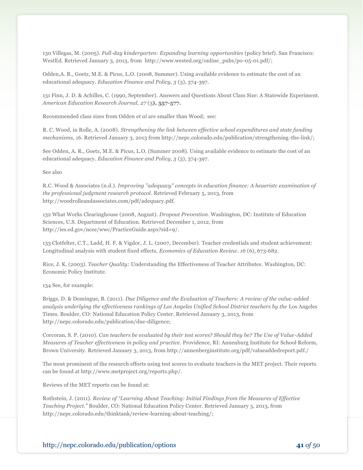130 Villegas, M. (2005). *Full-day kindergarten: Expanding learning opportunities* (policy brief). San Francisco: WestEd. Retrieved January 3, 2013, from http://www.wested.org/online\_pubs/po-05-01.pdf/;

Odden,A. R., Goetz, M.E. & Picus, L.O. (2008, Summer). Using available evidence to estimate the cost of an educational adequacy. *Education Finance and Policy, 3* (3), 374-397.

131 Finn, J. D. & Achilles, C. (1990, September). Answers and Questions About Class Size: A Statewide Experiment. *American Education Research Journal, 27* (3**), 557-577.**

Recommended class sizes from Odden *et al* are smaller than Wood; see:

R. C. Wood, in Rolle, A. (2008). *Strengthening the link between effective school expenditures and state funding mechanisms*, 16. Retrieved January 3, 2013 from http://nepc.colorado.edu/publication/strengthening-the-link/;

See Odden, A. R., Goetz, M.E. & Picus, L.O. (Summer 2008). Using available evidence to estimate the cost of an educational adequacy. *Education Finance and Policy, 3* (3), 374-397.

See also

R.C. Wood & Associates (n.d.). *Improving "adequacy" concepts in education finance: A heueristc examination of the professional judgment research protocol.* Retrieved February 5, 2013, from http://woodrolleandassociates.com/pdf/adequacy.pdf.

132 What Works Clearinghouse (2008, August). *Dropout Prevention*. Washington, DC: Institute of Education Sciences, U.S. Department of Education. Retrieved December 1, 2012, from http://ies.ed.gov/ncee/wwc/PracticeGuide.aspx?sid=9/.

133 Clotfelter, C.T., Ladd, H. F. & Vigdor, J. L. (2007, December). Teacher credentials and student achievement: Longitudinal analysis with student fixed effects. *Economics of Education Review. 16* (6), 673-682.

Rice, J. K. (2003). *Teacher Quality:* [Understanding the Effectiveness of Teacher Attributes.](http://www.epi.org/publication/books_teacher_quality_execsum_intro/) Washington, DC: Economic Policy Institute.

134 See, for example:

Briggs, D. & Domingue, B. (2011). *Due Diligence and the Evaluation of Teachers: A review of the value-added analysis underlying the effectiveness rankings of Los Angeles Unified School District teachers by the* Los Angeles Times. Boulder, CO: National Education Policy Center. Retrieved January 3, 2013, from http://nepc.colorado.edu/publication/due-diligence;

Corcoran, S. P. (2010). *Can teachers be evaluated by their test scores? Should they be? The Use of Value-Added Measures of Teacher effectiveness in policy and practice*. Providence, RI: Annenburg Institute for School Reform, Brown University. Retrieved January 3, 2013, from http://annenberginstitute.org/pdf/valueaddedreport.pdf./

The most prominent of the research efforts using test scores to evaluate teachers is the MET project. Their reports can be found at http://www.metproject.org/reports.php/.

Reviews of the MET reports can be found at:

Rothstein, J. (2011). *Review of "Learning About Teaching: Initial Findings from the Measures of Effective Teaching Project."* Boulder, CO: National Education Policy Center. Retrieved January 3, 2013, from http://nepc.colorado.edu/thinktank/review-learning-about-teaching/;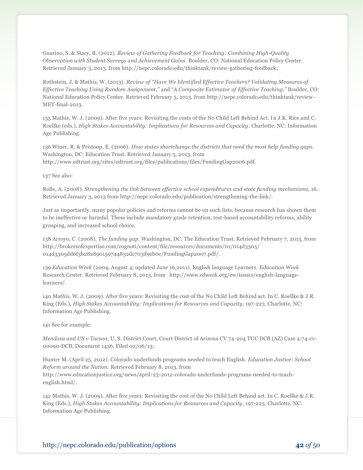Guarino, S. & Stacy, B. (2012). *Review of Gathering Feedback for Teaching: Combining High-Quality Observation with Student Surveys and Achievement Gains.* Boulder, CO: National Education Policy Center. Retrieved January 3, 2013, from http://nepc.colorado.edu/thinktank/review-gathering-feedback;

Rothstein, J. & Mathis, W. (2013). *Review of "Have We Identified Effective Teachers? Validating Measures of Effective Teaching Using Random Assignment,"* and *"A Composite Estimator of Effective Teaching."* Boulder, CO: National Education Policy Center. Retrieved February 5, 2013, from http://nepc.colorado.edu/thinktank/review-MET-final-2013.

135 Mathis, W. J. (2009). After five years: Revisiting the costs of the No Child Left Behind Act. In J.K. Rice and C. Roellke (eds.), *High Stakes Accountability: Implications for Resources and Capacity*. Charlotte, NC: Information Age Publishing.

136 Winer, R. & Pristoop, E. (2006). *How states shortchange the districts that need the most help funding gaps.* Washington, DC: Education Trust. Retrieved January 5, 2013, from http://www.edtrust.org/sites/edtrust.org/files/publications/files/FundingGap2006.pdf.

137 See also:

Rolle, A. (2008). *Strengthening the link between effective school expenditures and state funding mechanisms*, 16. Retrieved January 3, 2013 from http://nepc.colorado.edu/publication/strengthening-the-link/.

Just as importantly, many popular policies and reforms cannot be on such lists, because research has shown them to be ineffective or harmful. These include mandatory grade retention, test-based accountability reforms, ability grouping, and increased school choice.

138 Arroyo, C. (2008). *The funding gap.* Washington, DC: The Education Trust. Retrieved February 7, 2013, from http://brokersofexpertise.com/cognoti/content/file/resources/documents/01/014d3305/ 014d3305dd6f3b28a890159744832dc703d9cb0e/FundingGap2007.pdf/.

139 *Education Week* (2004, August 4; updated June 16,2011). English language Learners. *Education Week* Research Center. Retrieved February 8, 2013, from http://www.edweek.org/ew/issues/english-languagelearners/.

140 Mathis, W. J. (2009). After five years: Revisiting the cost of the No Child Left Behind act. In C. Roellke & J.R. King (Eds.), *High Stakes Accountability: Implications for Resources and Capacity*, 197-223. Charlotte, NC: Information Age Publishing.

141 See for example:

*Mendoza and US v Tucson,* U. S. District Court, Court District of Arizona CV 74-204 TUC DCB (AZ) Case 4:74-cv-00090-DCB, Document 1436, Filed 02/06/13;

Hunter M. (April 25, 2012). Colorado underfunds programs needed to teach English. *Education Justice: School Reform around the Nation.* Retrieved February 8, 2013, from http://www.educationjustice.org/news/april-23-2012-colorado-underfunds-programs-needed-to-teachenglish.html/.

142 Mathis, W. J. (2009). After five years: Revisiting the cost of the No Child Left Behind act. In C. Roellke & J.R. King (Eds.), *High Stakes Accountability: Implications for Resources and Capacity*, 197-223. Charlotte, NC: Information Age Publishing.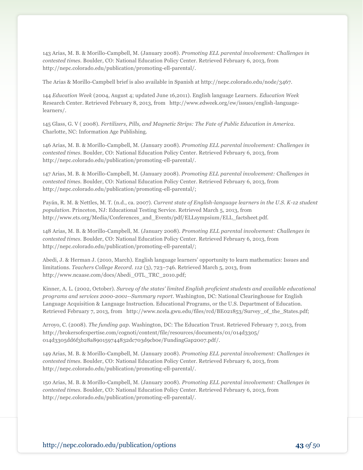143 Arias, M. B. & Morillo-Campbell, M. (January 2008). *Promoting ELL parental involvement: Challenges in contested times.* Boulder, CO: National Education Policy Center. Retrieved February 6, 2013, from http://nepc.colorado.edu/publication/promoting-ell-parental/.

The Arias & Morillo-Campbell brief is also available in Spanish at http://nepc.colorado.edu/node/3467.

144 *Education Week* (2004, August 4; updated June 16,2011). English language Learners. *Education Week* Research Center. Retrieved February 8, 2013, from http://www.edweek.org/ew/issues/english-languagelearners/.

145 Glass, G. V ( 2008). *Fertilizers, Pills, and Magnetic Strips: The Fate of Public Education in America.* Charlotte, NC: Information Age Publishing.

146 Arias, M. B. & Morillo-Campbell, M. (January 2008). *Promoting ELL parental involvement: Challenges in contested times.* Boulder, CO: National Education Policy Center. Retrieved February 6, 2013, from http://nepc.colorado.edu/publication/promoting-ell-parental/.

147 Arias, M. B. & Morillo-Campbell, M. (January 2008). *Promoting ELL parental involvement: Challenges in contested times.* Boulder, CO: National Education Policy Center. Retrieved February 6, 2013, from http://nepc.colorado.edu/publication/promoting-ell-parental/;

Payán, R. M. & Nettles, M. T. (n.d., ca. 2007). *Current state of English-language learners in the U.S. K-12 student population.* Princeton, NJ: Educational Testing Service. Retrieved March 5, 2013, from http://www.ets.org/Media/Conferences\_and\_Events/pdf/ELLsympsium/ELL\_factsheet.pdf.

148 Arias, M. B. & Morillo-Campbell, M. (January 2008). *Promoting ELL parental involvement: Challenges in contested times.* Boulder, CO: National Education Policy Center. Retrieved February 6, 2013, from http://nepc.colorado.edu/publication/promoting-ell-parental/;

Abedi, J. & Herman J. (2010, March). English language learners' opportunity to learn mathematics: Issues and limitations. *Teachers College Record. 112* (3), 723–746. Retrieved March 5, 2013, from http://www.ncaase.com/docs/Abedi\_OTL\_TRC\_2010.pdf;

Kinner, A. L. (2002, October). *Survey of the states' limited English proficient students and available educational programs and services 2000-2001--Summary report*. Washington, DC: National Clearinghouse for English Language Acquisition & Language Instruction. Educational Programs, or the U.S. Department of Education. Retrieved February 7, 2013, from http://www.ncela.gwu.edu/files/rcd/BE021853/Survey\_of\_the\_States.pdf;

Arroyo, C. (2008). *The funding gap.* Washington, DC: The Education Trust. Retrieved February 7, 2013, from http://brokersofexpertise.com/cognoti/content/file/resources/documents/01/014d3305/ 014d3305dd6f3b28a890159744832dc703d9cb0e/FundingGap2007.pdf/.

149 Arias, M. B. & Morillo-Campbell, M. (January 2008). *Promoting ELL parental involvement: Challenges in contested times.* Boulder, CO: National Education Policy Center. Retrieved February 6, 2013, from http://nepc.colorado.edu/publication/promoting-ell-parental/.

150 Arias, M. B. & Morillo-Campbell, M. (January 2008). *Promoting ELL parental involvement: Challenges in contested times.* Boulder, CO: National Education Policy Center. Retrieved February 6, 2013, from http://nepc.colorado.edu/publication/promoting-ell-parental/.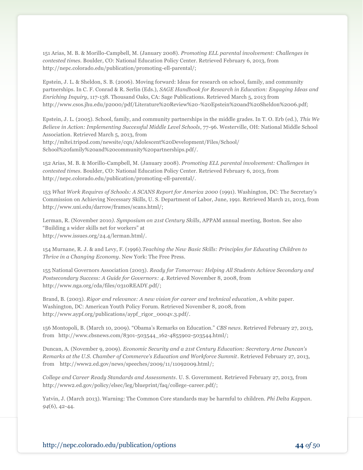151 Arias, M. B. & Morillo-Campbell, M. (January 2008). *Promoting ELL parental involvement: Challenges in contested times.* Boulder, CO: National Education Policy Center. Retrieved February 6, 2013, from http://nepc.colorado.edu/publication/promoting-ell-parental/;

Epstein, J. L. & Sheldon, S. B. (2006). Moving forward: Ideas for research on school, family, and community partnerships*.* In C. F. Conrad & R. Serlin (Eds.), *SAGE Handbook for Research in Education: Engaging Ideas and Enriching Inquiry*, 117-138. Thousand Oaks, CA: Sage Publications. Retrieved March 5, 2013 from http://www.csos.jhu.edu/p2000/pdf/Literature%20Review%20-%20Epstein%20and%20Sheldon%2006.pdf;

Epstein, J. L. (2005). School, family, and community partnerships in the middle grades. In T. O. Erb (ed.), *This We Believe in Action: Implementing Successful Middle Level Schools*, 77-96. Westerville, OH: National Middle School Association. Retrieved March 5, 2013, from

http://mltei.tripod.com/newsite/cqn/Adolescent%20Development/Files/School/ School%20family%20and%20community%20partnerships.pdf/.

152 Arias, M. B. & Morillo-Campbell, M. (January 2008). *Promoting ELL parental involvement: Challenges in contested times.* Boulder, CO: National Education Policy Center. Retrieved February 6, 2013, from http://nepc.colorado.edu/publication/promoting-ell-parental/.

153 *What Work Requires of Schools: A SCANS Report for America 2000* (1991). Washington, DC: The Secretary's Commission on Achieving Necessary Skills, U. S. Department of Labor, June, 1991. Retrieved March 21, 2013, from http://www.uni.edu/darrow/frames/scans.html/;

Lerman, R. (November 2010*). Symposium on 21st Century Skills,* APPAM annual meeting, Boston. See also "Building a wider skills net for workers" at http://www.issues.org/24.4/lerman.html/.

154 Murnane, R. J. & and Levy, F. (1996).*Teaching the New Basic Skills: Principles for Educating Children to Thrive in a Changing Economy*. New York: The Free Press.

155 National Governors Association (2003). *Ready for Tomorrow: Helping All Students Achieve Secondary and Postsecondary Success: A Guide for Governors: 4.* Retrieved November 8, 2008, from http://www.nga.org/cda/files/0310READY.pdf/;

Brand, B. (2003). *Rigor and relevance: A new vision for career and technical education*, A white paper. Washington, DC: American Youth Policy Forum. Retrieved November 8, 2008, from http://www.aypf.org/publications/aypf\_rigor\_0004v.3.pdf/.

156 Montopoli, B. (March 10, 2009). "Obama's Remarks on Education." *CBS news*. Retrieved February 27, 2013, from http://www.cbsnews.com/8301-503544\_162-4855902-503544.html/;

Duncan, A. (November 9, 2009). *Economic Security and a 21st Century Education: Secretary Arne Duncan's Remarks at the U.S. Chamber of Commerce's Education and Workforce Summit.* Retrieved February 27, 2013, from http://www2.ed.gov/news/speeches/2009/11/11092009.html/;

*College and Career Ready Standards and Assessments*. U. S. Government. Retrieved February 27, 2013, from http://www2.ed.gov/policy/elsec/leg/blueprint/faq/college-career.pdf/;

Yatvin, J. (March 2013). Warning: The Common Core standards may be harmful to children. *Phi Delta Kappan*. *94*(6), 42-44.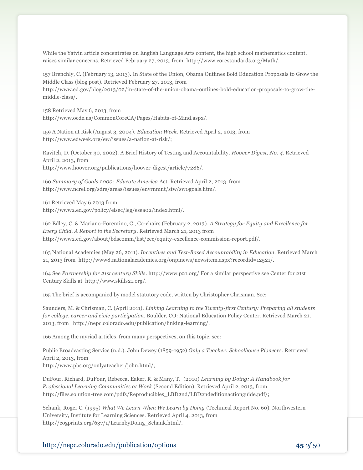While the Yatvin article concentrates on English Language Arts content, the high school mathematics content, raises similar concerns. Retrieved February 27, 2013, from http://www.corestandards.org/Math/.

157 Brenchly, C. (February 13, 2013). In State of the Union, Obama Outlines Bold Education Proposals to Grow the Middle Class (blog post). Retrieved February 27, 2013, from

http://www.ed.gov/blog/2013/02/in-state-of-the-union-obama-outlines-bold-education-proposals-to-grow-themiddle-class/.

158 Retrieved May 6, 2013, from http://www.ocde.us/CommonCoreCA/Pages/Habits-of-Mind.aspx/.

159 A Nation at Risk (August 3, 2004). *Education Week*. Retrieved April 2, 2013, from http://www.edweek.org/ew/issues/a-nation-at-risk/;

Ravitch, D. (October 30, 2002). A Brief History of Testing and Accountability. *Hoover Digest, No. 4*. Retrieved April 2, 2013, from http://www.hoover.org/publications/hoover-digest/article/7286/.

160 *Summary of Goals 2000: Educate America* Act. Retrieved April 2, 2013, from http://www.ncrel.org/sdrs/areas/issues/envrnmnt/stw/sw0goals.htm/.

161 Retrieved May 6,2013 from http://www2.ed.gov/policy/elsec/leg/esea02/index.html/.

162 Edley, C. & Mariano-Forentino, C., Co-chairs (February 2, 2013). *A Strategy for Equity and Excellence for Every Child. A Report to the Secretary*. Retrieved March 21, 2013 from http://www2.ed.gov/about/bdscomm/list/eec/equity-excellence-commission-report.pdf/.

163 National Academies (May 26, 2011). *Incentives and Test-Based Accountability in Education.* Retrieved March 21, 2013 from http://www8.nationalacademies.org/onpinews/newsitem.aspx?recordid=12521/.

164 See *Partnership for 21st century Skills*. http://www.p21.org/ For a similar perspective see Center for 21st Century Skills at http://www.skills21.org/.

165 The brief is accompanied by model statutory code, written by Christopher Chrisman. See:

Saunders, M. & Chrisman, C. (April 2011). *Linking Learning to the Twenty-first Century: Preparing all students for college, career and civic participation*. Boulder, CO: National Education Policy Center. Retrieved March 21, 2013, from http://nepc.colorado.edu/publication/linking-learning/.

166 Among the myriad articles, from many perspectives, on this topic, see:

Public Broadcasting Service (n.d.). John Dewey (1859-1952) *Only a Teacher: Schoolhouse Pioneers.* Retrieved April 2, 2013, from

http://www.pbs.org/onlyateacher/john.html/;

DuFour, Richard, DuFour, Rebecca, Eaker, R. & Many, T. (2010) *Learning by Doing: A Handbook for Professional Learning Communities at Work* (Second Edition). Retrieved April 2, 2013, from http://files.solution-tree.com/pdfs/Reproducibles\_LBD2nd/LBD2ndeditionactionguide.pdf/;

Schank, Roger C. (1995) *What We Learn When We Learn by Doing* (Technical Report No. 60). Northwestern University, Institute for Learning Sciences. Retrieved April 4, 2013, from http://cogprints.org/637/1/LearnbyDoing\_Schank.html/.

http://nepc.colorado.edu/publication/options **45** *of* 50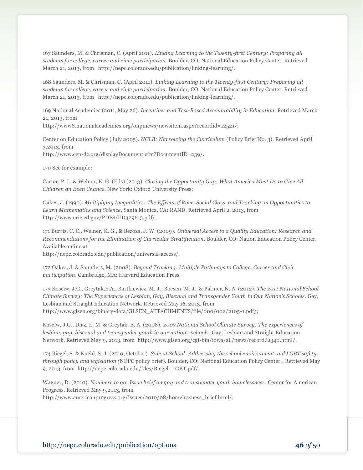167 Saunders, M. & Chrisman, C. (April 2011). *Linking Learning to the Twenty-first Century: Preparing all students for college, career and civic participation.* Boulder, CO: National Education Policy Center. Retrieved March 21, 2013, from http://nepc.colorado.edu/publication/linking-learning/.

168 Saunders, M. & Chrisman, C. (April 2011). *Linking Learning to the Twenty-first Century: Preparing all students for college, career and civic participation.* Boulder, CO: National Education Policy Center. Retrieved March 21, 2013, from http://nepc.colorado.edu/publication/linking-learning/.

169 National Academies (2011, May 26). *Incentives and Test-Based Accountability in Education*. Retrieved March 21, 2013, from

http://www8.nationalacademies.org/onpinews/newsitem.aspx?recordid=12521/;

Center on Education Policy (July 2005). *NCLB: Narrowing the Curriculum* (Policy Brief No. 3). Retrieved April 3,2013, from http://www.cep-dc.org/displayDocument.cfm?DocumentID=239/.

170 See for example:

Carter, P. L. & Welner, K. G. (Eds) (2013). *Closing the Opportunity Gap: What America Must Do to Give All Children an Even Chance*. New York: Oxford University Press;

Oakes, J. (1990). *Multiplying Inequalities: The Effects of Race, Social Class, and Tracking on Opportunities to Learn Mathematics and Science*. Santa Monica, CA: RAND. Retrieved April 2, 2013, from http://www.eric.ed.gov/PDFS/ED329615.pdf/.

171 Burris, C. C., Welner, K. G., & Bezoza, J. W. (2009). *Universal Access to a Quality Education: Research and Recommendations for the Elimination of Curricular Stratification*. Boulder, CO: Nation Education Policy Center. Available online at

http://nepc.colorado.edu/publication/universal-access/.

172 Oakes, J. & Saunders, M. (2008). *Beyond Tracking: Multiple Pathways to College, Career and Civic participation*. Cambridge, MA: Harvard Education Press.

173 Kosciw, J.G., Greytak,E.A., Bartkiewicz, M. J., Boesen, M. J., & Palmer, N. A. (2012). *The 2011 National School Climate Survey: The Experiences of Lesbian, Gay, Bisexual and Transgender Youth in Our Nation's Schools.* Gay, Lesbian and Straight Education Network. Retrieved May 16, 2013, from http://www.glsen.org/binary-data/GLSEN\_ATTACHMENTS/file/000/002/2105-1.pdf/;

Kosciw, J.G., Diaz, E. M. & Greytak, E. A. (2008). *2007 National School Climate Survey: The experiences of lesbian, gay, bisexual and transgender youth in our nation's schools.* Gay, Lesbian and Straight Education Network. Retrieved May 9, 2013, from http://www.glsen.org/cgi-bin/iowa/all/news/record/2340.html/.

174 Biegel, S. & Kuehl, S. J. (2010, October). *Safe at School: Addressing the school environment and LGBT safety through policy and legislation (*NEPC policy brief). Boulder, CO: National Education Policy Center.. Retrieved May 9, 2013, from http://nepc.colorado.edu/files/Biegel\_LGBT.pdf/;

Wagner, D. (2010). *Nowhere to go: Issue brief on gay and transgender youth homelessness*. Center for American Progress. Retrieved May 9,2013, from

http://www.americanprogress.org/issues/2010/08/homelessness\_brief.html/;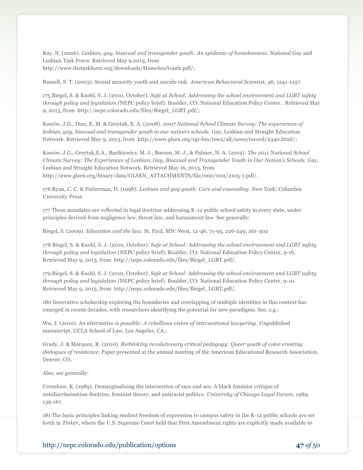Ray, N. (2006). *Lesbian, gay, bisexual and transgender youth: An epidemic of homelessness*. National Gay and Lesbian Task Force. Retrieved May 9,2013, from http://www.thetaskforce.org/downloads/HomelessYouth.pdf/;

Russell, S. T. (2003). Sexual minority youth and suicide risk. *American Behavioral Scientist, 46*, 1241-1257.

175 Biegel, S. & Kuehl, S. J. (2010, October). *Safe at School: Addressing the school environment and LGBT safety through policy and legislation (*NEPC policy brief). Boulder, CO: National Education Policy Center.. Retrieved May 9, 2013, from http://nepc.colorado.edu/files/Biegel\_LGBT.pdf/;

Kosciw, J.G., Diaz, E. M. & Greytak, E. A. (2008). *2007 National School Climate Survey: The experiences of lesbian, gay, bisexual and transgender youth in our nation's schools.* Gay, Lesbian and Straight Education Network. Retrieved May 9, 2013, from http://www.glsen.org/cgi-bin/iowa/all/news/record/2340.html/;

Kosciw, J.G., Greytak,E.A., Bartkiewicz, M. J., Boesen, M. J., & Palmer, N. A. (2012). *The 2011 National School Climate Survey: The Experiences of Lesbian, Gay, Bisexual and Transgender Youth in Our Nation's Schools.* Gay, Lesbian and Straight Education Network. Retrieved May 16, 2013, from http://www.glsen.org/binary-data/GLSEN\_ATTACHMENTS/file/000/002/2105-1.pdf/.

176 Ryan, C. C. & Futterman, D. (1998). *Lesbian and gay youth: Care and counseling.* New York: Columbia University Press.

177 These mandates are reflected in legal doctrine addressing K-12 public school safety in every state, under principles derived from negligence law, threat law, and harassment law. See generally:

Biegel, S. (2009). *Education and the law*. St. Paul, MN: West, 12-46, 71-95, 226-249, 261-302

178 Biegel, S. & Kuehl, S. J. (2010, October). *Safe at School: Addressing the school environment and LGBT safety through policy and legislation (*NEPC policy brief). Boulder, CO: National Education Policy Center, 9-16. Retrieved May 9, 2013, from http://nepc.colorado.edu/files/Biegel\_LGBT.pdf/.

179 Biegel, S. & Kuehl, S. J. (2010, October). *Safe at School: Addressing the school environment and LGBT safety through policy and legislation (*NEPC policy brief). Boulder, CO: National Education Policy Center, 9-10. Retrieved May 9, 2013, from http://nepc.colorado.edu/files/Biegel\_LGBT.pdf/.

180 Innovative scholarship exploring the boundaries and overlapping of multiple identities in this context has emerged in recent decades, with researchers identifying the potential for new paradigms. See, e.g.:

Wu, J. (2010). *An alternative is possible: A rebellious vision of intersectional lawyering.* Unpublished manuscript, UCLA School of Law, Los Angeles, CA.;

Grady, J. & Marquez, R. (2010). *Rethinking revolutionary critical pedagogy: Queer youth of color creating dialogues of resistance*. Paper presented at the annual meeting of the American Educational Research Association, Denver, CO.

Also, see generally:

Crenshaw, K. (1989). Demarginalizing the intersection of race and sex: A black feminist critique of antidiscrimination doctrine, feminist theory, and antiracist politics. *University of Chicago Legal Forum, 1989*, 139-167.

181 The basic principles linking student freedom of expression to campus safety in the K-12 public schools are set forth in *Tinker*, where the U.S. Supreme Court held that First Amendment rights are explicitly made available to

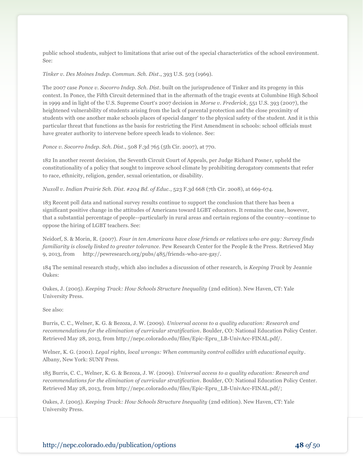public school students, subject to limitations that arise out of the special characteristics of the school environment. See:

#### *Tinker v. Des Moines Indep. Commun. Sch. Dist*., 393 U.S. 503 (1969).

The 2007 case *Ponce v. Socorro Indep. Sch. Dist.* built on the jurisprudence of Tinker and its progeny in this context. In Ponce, the Fifth Circuit determined that in the aftermath of the tragic events at Columbine High School in 1999 and in light of the U.S. Supreme Court's 2007 decision in *Morse v. Frederick*, 551 U.S. 393 (2007), the heightened vulnerability of students arising from the lack of parental protection and the close proximity of students with one another make schools places of special danger' to the physical safety of the student. And it is this particular threat that functions as the basis for restricting the First Amendment in schools: school officials must have greater authority to intervene before speech leads to violence. See:

*Ponce v. Socorro Indep. Sch. Dist.*, 508 F.3d 765 (5th Cir. 2007), at 770.

182 In another recent decision, the Seventh Circuit Court of Appeals, per Judge Richard Posner, upheld the constitutionality of a policy that sought to improve school climate by prohibiting derogatory comments that refer to race, ethnicity, religion, gender, sexual orientation, or disability.

*Nuxoll v. Indian Prairie Sch. Dist. #204 Bd. of Educ.*, 523 F.3d 668 (7th Cir. 2008), at 669-674.

183 Recent poll data and national survey results continue to support the conclusion that there has been a significant positive change in the attitudes of Americans toward LGBT educators. It remains the case, however, that a substantial percentage of people--particularly in rural areas and certain regions of the country--continue to oppose the hiring of LGBT teachers. See:

Neidorf, S. & Morin, R. (2007). *Four in ten Americans have close friends or relatives who are gay: Survey finds familiarity is closely linked to greater tolerance.* Pew Research Center for the People & the Press. Retrieved May 9, 2013, from http://pewresearch.org/pubs/485/friends-who-are-gay/.

184 The seminal research study, which also includes a discussion of other research, is *Keeping Track* by Jeannie Oakes:

Oakes, J. (2005). *Keeping Track: How Schools Structure Inequality* (2nd edition). New Haven, CT: Yale University Press.

#### See also:

Burris, C. C., Welner, K. G. & Bezoza, J. W. (2009). *Universal access to a quality education: Research and recommendations for the elimination of curricular stratification*. Boulder, CO: National Education Policy Center. Retrieved May 28, 2013, from http://nepc.colorado.edu/files/Epic-Epru\_LB-UnivAcc-FINAL.pdf/.

Welner, K. G. (2001). *Legal rights, local wrongs: When community control collides with educational equity*. Albany, New York: SUNY Press.

185 Burris, C. C., Welner, K. G. & Bezoza, J. W. (2009). *Universal access to a quality education: Research and recommendations for the elimination of curricular stratification*. Boulder, CO: National Education Policy Center. Retrieved May 28, 2013, from http://nepc.colorado.edu/files/Epic-Epru\_LB-UnivAcc-FINAL.pdf/;

Oakes, J. (2005). *Keeping Track: How Schools Structure Inequality* (2nd edition). New Haven, CT: Yale University Press.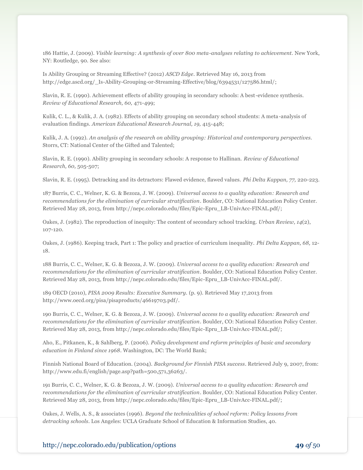186 Hattie, J. (2009). *Visible learning: A synthesis of over 800 meta-analyses relating to achievement.* New York, NY: Routledge, 90. See also:

Is Ability Grouping or Streaming Effective? (2012) *ASCD Edge*. Retrieved May 16, 2013 from http://edge.ascd.org/\_Is-Ability-Grouping-or-Streaming-Effective/blog/6394531/127586.html/;

Slavin, R. E. (1990). Achievement effects of ability grouping in secondary schools: A best-evidence synthesis. *Review of Educational Research, 60,* 471-499;

Kulik, C. L., & Kulik, J. A. (1982). Effects of ability grouping on secondary school students: A meta-analysis of evaluation findings. *American Educational Research Journal, 19,* 415-448;

Kulik, J. A. (1992). *An analysis of the research on ability grouping: Historical and contemporary perspectives.*  Storrs, CT: National Center of the Gifted and Talented;

Slavin, R. E. (1990). Ability grouping in secondary schools: A response to Hallinan. *Review of Educational Research, 60,* 505-507;

Slavin, R. E. (1995). Detracking and its detractors: Flawed evidence, flawed values. *Phi Delta Kappan, 77,* 220-223.

187 Burris, C. C., Welner, K. G. & Bezoza, J. W. (2009). *Universal access to a quality education: Research and recommendations for the elimination of curricular stratification*. Boulder, CO: National Education Policy Center. Retrieved May 28, 2013, from http://nepc.colorado.edu/files/Epic-Epru\_LB-UnivAcc-FINAL.pdf/;

Oakes, J. (1982). The reproduction of inequity: The content of secondary school tracking. *Urban Review, 14*(2), 107-120.

Oakes, J. (1986). Keeping track, Part 1: The policy and practice of curriculum inequality. *Phi Delta Kappan, 68,* 12- 18.

188 Burris, C. C., Welner, K. G. & Bezoza, J. W. (2009). *Universal access to a quality education: Research and recommendations for the elimination of curricular stratification*. Boulder, CO: National Education Policy Center. Retrieved May 28, 2013, from http://nepc.colorado.edu/files/Epic-Epru\_LB-UnivAcc-FINAL.pdf/.

189 OECD (2010), *PISA 2009 Results: Executive Summary.* (p. 9). Retrieved May 17,2013 from http://www.oecd.org/pisa/pisaproducts/46619703.pdf/.

190 Burris, C. C., Welner, K. G. & Bezoza, J. W. (2009). *Universal access to a quality education: Research and recommendations for the elimination of curricular stratification*. Boulder, CO: National Education Policy Center. Retrieved May 28, 2013, from http://nepc.colorado.edu/files/Epic-Epru\_LB-UnivAcc-FINAL.pdf/;

Aho, E., Pitkanen, K., & Sahlberg, P. (2006). *Policy development and reform principles of basic and secondary education in Finland since 1968*. Washington, DC: The World Bank;

Finnish National Board of Education. (2004). *Background for Finnish PISA success*. Retrieved July 9, 2007, from: http://www.edu.fi/english/page.asp?path=500,571,36263/.

191 Burris, C. C., Welner, K. G. & Bezoza, J. W. (2009). *Universal access to a quality education: Research and recommendations for the elimination of curricular stratification*. Boulder, CO: National Education Policy Center. Retrieved May 28, 2013, from http://nepc.colorado.edu/files/Epic-Epru\_LB-UnivAcc-FINAL.pdf/;

Oakes, J. Wells, A. S., & associates (1996). *Beyond the technicalities of school reform: Policy lessons from detracking schools*. Los Angeles: UCLA Graduate School of Education & Information Studies, 40.